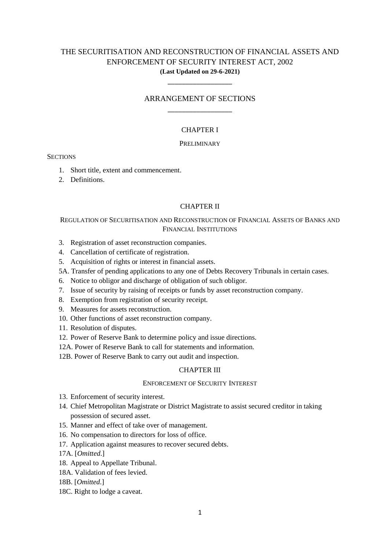# THE SECURITISATION AND RECONSTRUCTION OF FINANCIAL ASSETS AND ENFORCEMENT OF SECURITY INTEREST ACT, 2002 **(Last Updated on 29-6-2021)**

# ARRANGEMENT OF SECTIONS \_\_\_\_\_\_\_\_\_\_\_\_\_\_\_\_\_\_

\_\_\_\_\_\_\_\_\_\_\_\_\_\_\_\_\_\_

# CHAPTER I

### PRELIMINARY

## **SECTIONS**

- 1. Short title, extent and commencement.
- 2. Definitions.

### CHAPTER II

# REGULATION OF SECURITISATION AND RECONSTRUCTION OF FINANCIAL ASSETS OF BANKS AND FINANCIAL INSTITUTIONS

- 3. Registration of asset reconstruction companies.
- 4. Cancellation of certificate of registration.
- 5. Acquisition of rights or interest in financial assets.
- 5A. Transfer of pending applications to any one of Debts Recovery Tribunals in certain cases.
- 6. Notice to obligor and discharge of obligation of such obligor.
- 7. Issue of security by raising of receipts or funds by asset reconstruction company.
- 8. Exemption from registration of security receipt.
- 9. Measures for assets reconstruction.
- 10. Other functions of asset reconstruction company.
- 11. Resolution of disputes.
- 12. Power of Reserve Bank to determine policy and issue directions.
- 12A. Power of Reserve Bank to call for statements and information.
- 12B. Power of Reserve Bank to carry out audit and inspection.

# CHAPTER III

## ENFORCEMENT OF SECURITY INTEREST

- 13. Enforcement of security interest.
- 14. Chief Metropolitan Magistrate or District Magistrate to assist secured creditor in taking possession of secured asset.
- 15. Manner and effect of take over of management.
- 16. No compensation to directors for loss of office.
- 17. Application against measures to recover secured debts.
- 17A. [*Omitted*.]
- 18. Appeal to Appellate Tribunal.
- 18A. Validation of fees levied.
- 18B. [*Omitted*.]
- 18C. Right to lodge a caveat.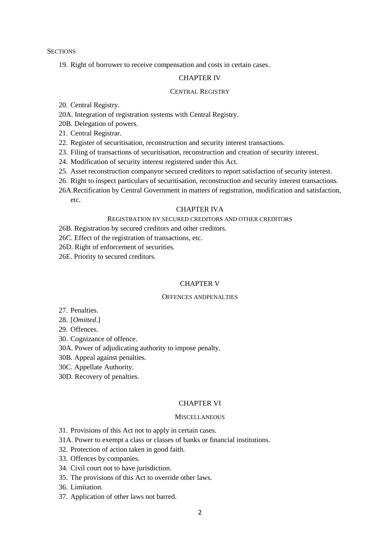**SECTIONS** 

19. Right of borrower to receive compensation and costs in certain cases.

## CHAPTER IV

#### CENTRAL REGISTRY

20. Central Registry.

20A. Integration of registration systems with Central Registry.

20B. Delegation of powers.

21. Central Registrar.

22. Register of securitisation, reconstruction and security interest transactions.

- 23. Filing of transactions of securitisation, reconstruction and creation of security interest.
- 24. Modification of security interest registered under this Act.
- 25. Asset reconstruction companyor secured creditors to report satisfaction of security interest.
- 26. Right to inspect particulars of securitisation, reconstruction and security interest transactions.
- 26A.Rectification by Central Government in matters of registration, modification and satisfaction, etc.

### CHAPTER IVA

# REGISTRATION BY SECURED CREDITORS AND OTHER CREDITORS

- 26B. Registration by secured creditors and other creditors.
- 26C. Effect of the registration of transactions, etc.
- 26D. Right of enforcement of securities.
- 26E. Priority to secured creditors.

### CHAPTER V

# OFFENCES ANDPENALTIES

- 27. Penalties.
- 28. [*Omitted*.]

29. Offences.

- 30. Cognizance of offence.
- 30A. Power of adjudicating authority to impose penalty.
- 30B. Appeal against penalties.
- 30C. Appellate Authority.
- 30D. Recovery of penalties.

# CHAPTER VI

#### **MISCELLANEOUS**

- 31. Provisions of this Act not to apply in certain cases.
- 31A. Power to exempt a class or classes of banks or financial institutions.
- 32. Protection of action taken in good faith.
- 33. Offences by companies.
- 34. Civil court not to have jurisdiction.
- 35. The provisions of this Act to override other laws.
- 36. Limitation.
- 37. Application of other laws not barred.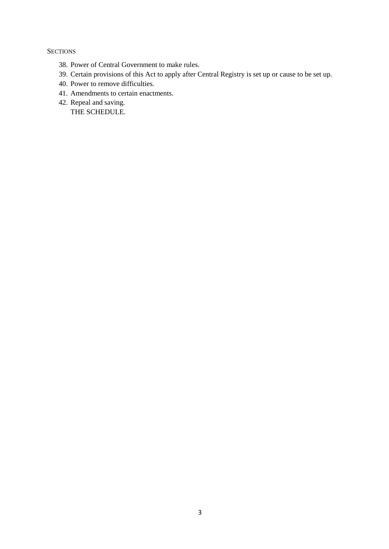**SECTIONS** 

- 38. Power of Central Government to make rules.
- 39. Certain provisions of this Act to apply after Central Registry is set up or cause to be set up.
- 40. Power to remove difficulties.
- 41. Amendments to certain enactments.
- 42. Repeal and saving. THE SCHEDULE.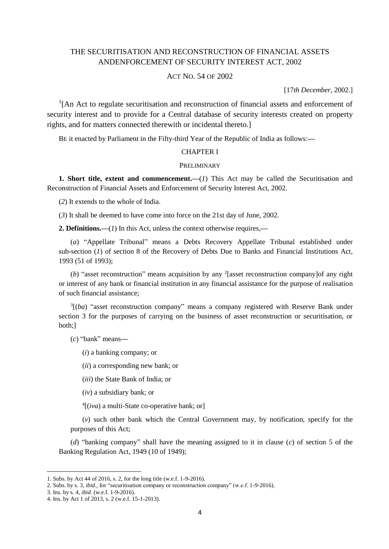# THE SECURITISATION AND RECONSTRUCTION OF FINANCIAL ASSETS ANDENFORCEMENT OF SECURITY INTEREST ACT, 2002

# ACT NO. 54 OF 2002

[17*th December*, 2002.]

<sup>1</sup>[An Act to regulate securitisation and reconstruction of financial assets and enforcement of security interest and to provide for a Central database of security interests created on property rights, and for matters connected therewith or incidental thereto.]

BE it enacted by Parliament in the Fifty-third Year of the Republic of India as follows:**—**

### CHAPTER I

#### **PRELIMINARY**

**1. Short title, extent and commencement.**—(*1*) This Act may be called the Securitisation and Reconstruction of Financial Assets and Enforcement of Security Interest Act, 2002.

(*2*) It extends to the whole of India.

(*3*) It shall be deemed to have come into force on the 21st day of June, 2002.

**2. Definitions.—**(*1*) In this Act, unless the context otherwise requires,**—**

(*a*) "Appellate Tribunal" means a Debts Recovery Appellate Tribunal established under sub-section (*1*) of section 8 of the Recovery of Debts Due to Banks and Financial Institutions Act, 1993 (51 of 1993);

(b) "asset reconstruction" means acquisition by any <sup>2</sup>[asset reconstruction company]of any right or interest of any bank or financial institution in any financial assistance for the purpose of realisation of such financial assistance;

<sup>3</sup>[(ba) "asset reconstruction company" means a company registered with Reserve Bank under section 3 for the purposes of carrying on the business of asset reconstruction or securitisation, or both;]

(*c*) "bank" means**—**

(*i*) a banking company; or

(*ii*) a corresponding new bank; or

(*iii*) the State Bank of India; or

(*iv*) a subsidiary bank; or

4 [(*iva*) a multi-State co-operative bank; or]

(*v*) such other bank which the Central Government may, by notification, specify for the purposes of this Act;

(*d*) "banking company" shall have the meaning assigned to it in clause (*c*) of section 5 of the Banking Regulation Act, 1949 (10 of 1949);

<sup>1.</sup> Subs. by Act 44 of 2016, s. 2, for the long title (w.e.f. 1-9-2016).

<sup>2.</sup> Subs. by s. 3, *ibid*., for "securitisation company or reconstruction company" (w.e.f. 1-9-2016).

<sup>3.</sup> Ins. by s. 4, *ibid*. (w.e.f. 1-9-2016).

<sup>4.</sup> Ins. by Act 1 of 2013, s. 2 (w.e.f. 15-1-2013).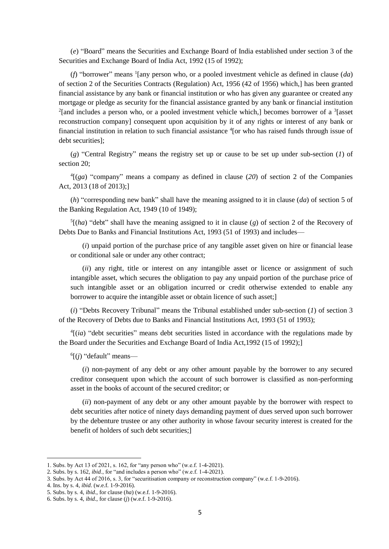(*e*) "Board" means the Securities and Exchange Board of India established under section 3 of the Securities and Exchange Board of India Act, 1992 (15 of 1992);

(*f*) "borrower" means <sup>1</sup> [any person who, or a pooled investment vehicle as defined in clause (*da*) of section 2 of the Securities Contracts (Regulation) Act, 1956 (42 of 1956) which,] has been granted financial assistance by any bank or financial institution or who has given any guarantee or created any mortgage or pledge as security for the financial assistance granted by any bank or financial institution  $2$ [and includes a person who, or a pooled investment vehicle which,] becomes borrower of a  $3$ [asset reconstruction company] consequent upon acquisition by it of any rights or interest of any bank or financial institution in relation to such financial assistance <sup>4</sup>[or who has raised funds through issue of debt securities];

(*g*) "Central Registry" means the registry set up or cause to be set up under sub-section (*1*) of section 20;

 $^{4}$ [(*ga*) "company" means a company as defined in clause (20) of section 2 of the Companies Act, 2013 (18 of 2013);]

(*h*) "corresponding new bank" shall have the meaning assigned to it in clause (*da*) of section 5 of the Banking Regulation Act, 1949 (10 of 1949);

 $<sup>5</sup>[(ha)$  "debt" shall have the meaning assigned to it in clause (g) of section 2 of the Recovery of</sup> Debts Due to Banks and Financial Institutions Act, 1993 (51 of 1993) and includes—

(*i*) unpaid portion of the purchase price of any tangible asset given on hire or financial lease or conditional sale or under any other contract;

(*ii*) any right, title or interest on any intangible asset or licence or assignment of such intangible asset, which secures the obligation to pay any unpaid portion of the purchase price of such intangible asset or an obligation incurred or credit otherwise extended to enable any borrower to acquire the intangible asset or obtain licence of such asset;]

(*i*) "Debts Recovery Tribunal" means the Tribunal established under sub-section (*1*) of section 3 of the Recovery of Debts due to Banks and Financial Institutions Act, 1993 (51 of 1993);

 $<sup>4</sup>$ [(*ia*) "debt securities" means debt securities listed in accordance with the regulations made by</sup> the Board under the Securities and Exchange Board of India Act,1992 (15 of 1992);]

6 [(*j*) "default" means—

(*i*) non-payment of any debt or any other amount payable by the borrower to any secured creditor consequent upon which the account of such borrower is classified as non-performing asset in the books of account of the secured creditor; or

(*ii*) non-payment of any debt or any other amount payable by the borrower with respect to debt securities after notice of ninety days demanding payment of dues served upon such borrower by the debenture trustee or any other authority in whose favour security interest is created for the benefit of holders of such debt securities;]

<sup>1.</sup> Subs. by Act 13 of 2021, s. 162, for "any person who" (w.e.f. 1-4-2021).

<sup>2.</sup> Subs. by s. 162, *ibid*., for "and includes a person who" (w.e.f. 1-4-2021).

<sup>3.</sup> Subs. by Act 44 of 2016, s. 3, for "securitisation company or reconstruction company" (w.e.f. 1-9-2016).

<sup>4.</sup> Ins. by s. 4, *ibid*. (w.e.f. 1-9-2016).

<sup>5.</sup> Subs. by s. 4, *ibid*., for clause (*ha*) (w.e.f. 1-9-2016).

<sup>6.</sup> Subs. by s. 4, *ibid*., for clause (*j*) (w.e.f. 1-9-2016).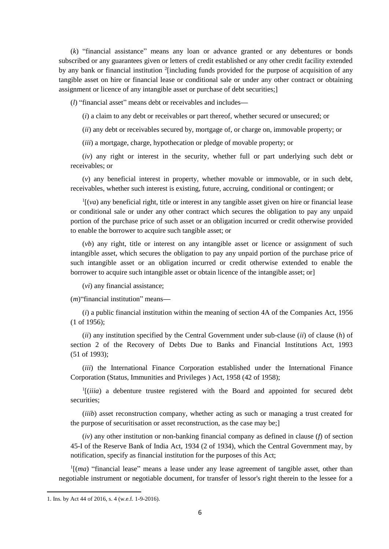(*k*) "financial assistance" means any loan or advance granted or any debentures or bonds subscribed or any guarantees given or letters of credit established or any other credit facility extended by any bank or financial institution <sup>2</sup>[including funds provided for the purpose of acquisition of any tangible asset on hire or financial lease or conditional sale or under any other contract or obtaining assignment or licence of any intangible asset or purchase of debt securities;]

(*l*) "financial asset" means debt or receivables and includes**—**

(*i*) a claim to any debt or receivables or part thereof, whether secured or unsecured; or

(*ii*) any debt or receivables secured by, mortgage of, or charge on, immovable property; or

(*iii*) a mortgage, charge, hypothecation or pledge of movable property; or

(*iv*) any right or interest in the security, whether full or part underlying such debt or receivables; or

(*v*) any beneficial interest in property, whether movable or immovable, or in such debt, receivables, whether such interest is existing, future, accruing, conditional or contingent; or

 $\frac{1}{v}$  (*va*) any beneficial right, title or interest in any tangible asset given on hire or financial lease or conditional sale or under any other contract which secures the obligation to pay any unpaid portion of the purchase price of such asset or an obligation incurred or credit otherwise provided to enable the borrower to acquire such tangible asset; or

(*vb*) any right, title or interest on any intangible asset or licence or assignment of such intangible asset, which secures the obligation to pay any unpaid portion of the purchase price of such intangible asset or an obligation incurred or credit otherwise extended to enable the borrower to acquire such intangible asset or obtain licence of the intangible asset; or]

(*vi*) any financial assistance;

(*m*)"financial institution" means**—**

(*i*) a public financial institution within the meaning of section 4A of the Companies Act, 1956 (1 of 1956);

(*ii*) any institution specified by the Central Government under sub-clause (*ii*) of clause (*h*) of section 2 of the Recovery of Debts Due to Banks and Financial Institutions Act, 1993 (51 of 1993);

(*iii*) the International Finance Corporation established under the International Finance Corporation (Status, Immunities and Privileges ) Act, 1958 (42 of 1958);

<sup>1</sup>[(*iiia*) a debenture trustee registered with the Board and appointed for secured debt securities:

(*iiib*) asset reconstruction company, whether acting as such or managing a trust created for the purpose of securitisation or asset reconstruction, as the case may be;]

(*iv*) any other institution or non-banking financial company as defined in clause (*f*) of section 45-I of the Reserve Bank of India Act, 1934 (2 of 1934), which the Central Government may, by notification, specify as financial institution for the purposes of this Act;

 $<sup>1</sup>$ [(*ma*) "financial lease" means a lease under any lease agreement of tangible asset, other than</sup> negotiable instrument or negotiable document, for transfer of lessor's right therein to the lessee for a

<sup>1.</sup> Ins. by Act 44 of 2016, s. 4 (w.e.f. 1-9-2016).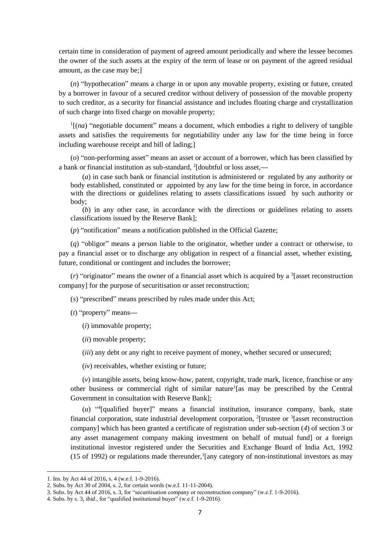certain time in consideration of payment of agreed amount periodically and where the lessee becomes the owner of the such assets at the expiry of the term of lease or on payment of the agreed residual amount, as the case may be;]

(*n*) "hypothecation" means a charge in or upon any movable property, existing or future, created by a borrower in favour of a secured creditor without delivery of possession of the movable property to such creditor, as a security for financial assistance and includes floating charge and crystallization of such charge into fixed charge on movable property;

 $<sup>1</sup>$ [(*na*) "negotiable document" means a document, which embodies a right to delivery of tangible</sup> assets and satisfies the requirements for negotiability under any law for the time being in force including warehouse receipt and bill of lading;]

(*o*) "non-performing asset" means an asset or account of a borrower, which has been classified by a bank or financial institution as sub-standard, <sup>2</sup> [doubtful or loss asset,**—**

(*a*) in case such bank or financial institution is administered or regulated by any authority or body established, constituted or appointed by any law for the time being in force, in accordance with the directions or guidelines relating to assets classifications issued by such authority or body;

(*b*) in any other case, in accordance with the directions or guidelines relating to assets classifications issued by the Reserve Bank];

(*p*) "notification" means a notification published in the Official Gazette;

(*q*) "obligor" means a person liable to the originator, whether under a contract or otherwise, to pay a financial asset or to discharge any obligation in respect of a financial asset, whether existing, future, conditional or contingent and includes the borrower;

(*r*) "originator" means the owner of a financial asset which is acquired by a <sup>3</sup> [asset reconstruction company] for the purpose of securitisation or asset reconstruction;

(*s*) "prescribed" means prescribed by rules made under this Act;

(*t*) "property" means**—**

(*i*) immovable property;

(*ii*) movable property;

*(iii)* any debt or any right to receive payment of money, whether secured or unsecured;

(*iv*) receivables, whether existing or future;

(*v*) intangible assets, being know-how, patent, copyright, trade mark, licence, franchise or any other business or commercial right of similar nature<sup>1</sup>[as may be prescribed by the Central Government in consultation with Reserve Bank];

(*u*) " 4 [qualified buyer]" means a financial institution, insurance company, bank, state financial corporation, state industrial development corporation, <sup>2</sup>[trustee or <sup>3</sup>[asset reconstruction company] which has been granted a certificate of registration under sub-section (*4*) of section 3 or any asset management company making investment on behalf of mutual fund] or a foreign institutional investor registered under the Securities and Exchange Board of India Act, 1992  $(15$  of 1992) or regulations made thereunder, [any category of non-institutional investors as may

<sup>1.</sup> Ins. by Act 44 of 2016, s. 4 (w.e.f. 1-9-2016).

<sup>2.</sup> Subs. by Act 30 of 2004, s. 2, for certain words (w.e.f. 11-11-2004).

<sup>3.</sup> Subs. by Act 44 of 2016, s. 3, for "securitisation company or reconstruction company" (w.e.f. 1-9-2016).

<sup>4.</sup> Subs. by s. 3, *ibid*., for "qualified institutional buyer" (w.e.f. 1-9-2016).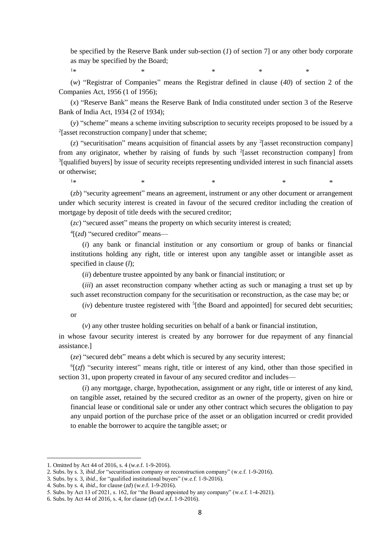be specified by the Reserve Bank under sub-section (*1*) of section 7] or any other body corporate as may be specified by the Board;

 $1*$  \* \* \* \*

(*w*) "Registrar of Companies" means the Registrar defined in clause (*40*) of section 2 of the Companies Act, 1956 (1 of 1956);

(*x*) "Reserve Bank" means the Reserve Bank of India constituted under section 3 of the Reserve Bank of India Act, 1934 (2 of 1934);

(*y*) "scheme" means a scheme inviting subscription to security receipts proposed to be issued by a <sup>2</sup>[asset reconstruction company] under that scheme;

 $(z)$  "securitisation" means acquisition of financial assets by any <sup>2</sup> [asset reconstruction company] from any originator, whether by raising of funds by such  $2$ [asset reconstruction company] from <sup>3</sup>[qualified buyers] by issue of security receipts representing undivided interest in such financial assets or otherwise;

(*zb*) "security agreement" means an agreement, instrument or any other document or arrangement under which security interest is created in favour of the secured creditor including the creation of mortgage by deposit of title deeds with the secured creditor;

 $1*$  \*  $*$  \*  $*$  \*

(*zc*) "secured asset" means the property on which security interest is created;

4 [(*zd*) "secured creditor" means—

(*i*) any bank or financial institution or any consortium or group of banks or financial institutions holding any right, title or interest upon any tangible asset or intangible asset as specified in clause (*l*);

(*ii*) debenture trustee appointed by any bank or financial institution; or

(*iii*) an asset reconstruction company whether acting as such or managing a trust set up by such asset reconstruction company for the securitisation or reconstruction, as the case may be; or

 $(iv)$  debenture trustee registered with <sup>5</sup>[the Board and appointed] for secured debt securities; or

(*v*) any other trustee holding securities on behalf of a bank or financial institution,

in whose favour security interest is created by any borrower for due repayment of any financial assistance.]

(*ze*) "secured debt" means a debt which is secured by any security interest;

 ${}^6$ [( $zf$ ) "security interest" means right, title or interest of any kind, other than those specified in section 31, upon property created in favour of any secured creditor and includes—

(*i*) any mortgage, charge, hypothecation, assignment or any right, title or interest of any kind, on tangible asset, retained by the secured creditor as an owner of the property, given on hire or financial lease or conditional sale or under any other contract which secures the obligation to pay any unpaid portion of the purchase price of the asset or an obligation incurred or credit provided to enable the borrower to acquire the tangible asset; or

1

3. Subs. by s. 3, *ibid*., for "qualified institutional buyers" (w.e.f. 1-9-2016).

<sup>1.</sup> Omitted by Act 44 of 2016, s. 4 (w.e.f. 1-9-2016).

<sup>2.</sup> Subs. by s. 3, *ibid*.,for "securitisation company or reconstruction company" (w.e.f. 1-9-2016).

<sup>4.</sup> Subs. by s. 4, *ibid*., for clause (*zd*) (w.e.f. 1-9-2016).

<sup>5.</sup> Subs. by Act 13 of 2021, s. 162, for "the Board appointed by any company" (w.e.f. 1-4-2021).

<sup>6.</sup> Subs. by Act 44 of 2016, s. 4, for clause (*zf*) (w.e.f. 1-9-2016).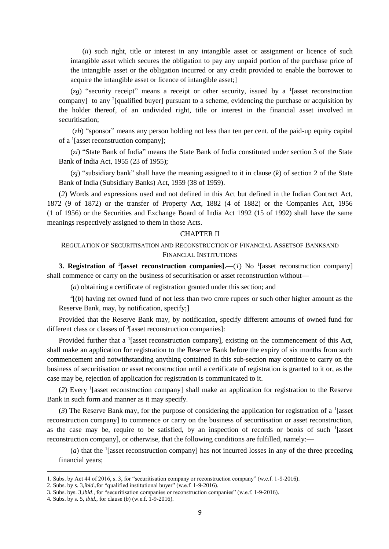(*ii*) such right, title or interest in any intangible asset or assignment or licence of such intangible asset which secures the obligation to pay any unpaid portion of the purchase price of the intangible asset or the obligation incurred or any credit provided to enable the borrower to acquire the intangible asset or licence of intangible asset;]

 $(zg)$  "security receipt" means a receipt or other security, issued by a <sup>1</sup> [asset reconstruction company] to any <sup>2</sup>[qualified buyer] pursuant to a scheme, evidencing the purchase or acquisition by the holder thereof, of an undivided right, title or interest in the financial asset involved in securitisation;

(*zh*) "sponsor" means any person holding not less than ten per cent. of the paid-up equity capital of a <sup>1</sup> [asset reconstruction company];

(*zi*) "State Bank of India" means the State Bank of India constituted under section 3 of the State Bank of India Act, 1955 (23 of 1955);

(*zj*) "subsidiary bank" shall have the meaning assigned to it in clause (*k*) of section 2 of the State Bank of India (Subsidiary Banks) Act, 1959 (38 of 1959).

(*2*) Words and expressions used and not defined in this Act but defined in the Indian Contract Act, 1872 (9 of 1872) or the transfer of Property Act, 1882 (4 of 1882) or the Companies Act, 1956 (1 of 1956) or the Securities and Exchange Board of India Act 1992 (15 of 1992) shall have the same meanings respectively assigned to them in those Acts.

### CHAPTER II

# REGULATION OF SECURITISATION AND RECONSTRUCTION OF FINANCIAL ASSETSOF BANKSAND FINANCIAL INSTITUTIONS

**3. Registration of <sup>3</sup> [asset reconstruction companies].—(***1***) No <sup>1</sup> [asset reconstruction company]** shall commence or carry on the business of securitisation or asset reconstruction without**—**

(*a*) obtaining a certificate of registration granted under this section; and

 $<sup>4</sup>[(b)$  having net owned fund of not less than two crore rupees or such other higher amount as the</sup> Reserve Bank, may, by notification, specify;]

Provided that the Reserve Bank may, by notification, specify different amounts of owned fund for different class or classes of <sup>3</sup>[asset reconstruction companies]:

Provided further that a <sup>1</sup>[asset reconstruction company], existing on the commencement of this Act, shall make an application for registration to the Reserve Bank before the expiry of six months from such commencement and notwithstanding anything contained in this sub-section may continue to carry on the business of securitisation or asset reconstruction until a certificate of registration is granted to it or, as the case may be, rejection of application for registration is communicated to it.

(*2*) Every <sup>1</sup> [asset reconstruction company] shall make an application for registration to the Reserve Bank in such form and manner as it may specify.

 $(3)$  The Reserve Bank may, for the purpose of considering the application for registration of a <sup>1</sup>[asset reconstruction company] to commence or carry on the business of securitisation or asset reconstruction, as the case may be, require to be satisfied, by an inspection of records or books of such  $\frac{1}{2}$  [asset reconstruction company], or otherwise, that the following conditions are fulfilled, namely:**—**

(*a*) that the <sup>1</sup>[asset reconstruction company] has not incurred losses in any of the three preceding financial years;

<sup>1.</sup> Subs. by Act 44 of 2016, s. 3, for "securitisation company or reconstruction company" (w.e.f. 1-9-2016).

<sup>2.</sup> Subs. by s. 3,*ibid*.,for "qualified institutional buyer" (w.e.f. 1-9-2016).

<sup>3.</sup> Subs. bys. 3,*ibid*., for "securitisation companies or reconstruction companies" (w.e.f. 1-9-2016).

<sup>4.</sup> Subs. by s. 5, *ibid*., for clause (*b*) (w.e.f. 1-9-2016).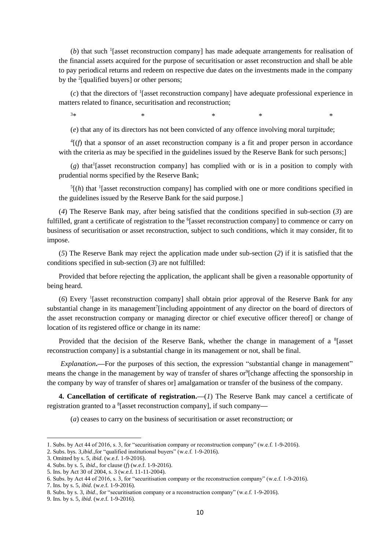(b) that such <sup>1</sup>[asset reconstruction company] has made adequate arrangements for realisation of the financial assets acquired for the purpose of securitisation or asset reconstruction and shall be able to pay periodical returns and redeem on respective due dates on the investments made in the company by the <sup>2</sup>[qualified buyers] or other persons;

(*c*) that the directors of <sup>1</sup> [asset reconstruction company] have adequate professional experience in matters related to finance, securitisation and reconstruction;

 $3*$  \*  $*$  \*  $*$  \*

(*e*) that any of its directors has not been convicted of any offence involving moral turpitude;

 $^{4}$ [ $(f)$  that a sponsor of an asset reconstruction company is a fit and proper person in accordance with the criteria as may be specified in the guidelines issued by the Reserve Bank for such persons;

(g) that<sup>1</sup> [asset reconstruction company] has complied with or is in a position to comply with prudential norms specified by the Reserve Bank;

 $<sup>5</sup>[(h)$  that <sup>1</sup> [asset reconstruction company] has complied with one or more conditions specified in</sup> the guidelines issued by the Reserve Bank for the said purpose.]

(*4*) The Reserve Bank may, after being satisfied that the conditions specified in sub-section (*3*) are fulfilled, grant a certificate of registration to the <sup>6</sup>[asset reconstruction company] to commence or carry on business of securitisation or asset reconstruction, subject to such conditions, which it may consider, fit to impose.

(*5*) The Reserve Bank may reject the application made under sub-section (*2*) if it is satisfied that the conditions specified in sub-section (*3*) are not fulfilled:

Provided that before rejecting the application, the applicant shall be given a reasonable opportunity of being heard.

(6) Every <sup>1</sup>[asset reconstruction company] shall obtain prior approval of the Reserve Bank for any substantial change in its management<sup>7</sup>[including appointment of any director on the board of directors of the asset reconstruction company or managing director or chief executive officer thereof] or change of location of its registered office or change in its name:

Provided that the decision of the Reserve Bank, whether the change in management of a  $^{8}$  [asset reconstruction company] is a substantial change in its management or not, shall be final.

*Explanation*.—For the purposes of this section, the expression "substantial change in management" means the change in the management by way of transfer of shares or<sup>9</sup>[change affecting the sponsorship in the company by way of transfer of shares or] amalgamation or transfer of the business of the company.

**4. Cancellation of certificate of registration.—**(*1*) The Reserve Bank may cancel a certificate of registration granted to a <sup>8</sup> [asset reconstruction company], if such company**—**

(*a*) ceases to carry on the business of securitisation or asset reconstruction; or

<sup>1.</sup> Subs. by Act 44 of 2016, s. 3, for "securitisation company or reconstruction company" (w.e.f. 1-9-2016).

<sup>2.</sup> Subs. bys. 3,*ibid*.,for "qualified institutional buyers" (w.e.f. 1-9-2016).

<sup>3.</sup> Omitted by s. 5, *ibid*. (w.e.f. 1-9-2016).

<sup>4.</sup> Subs. by s. 5, *ibid*., for clause (*f*) (w.e.f. 1-9-2016).

<sup>5.</sup> Ins. by Act 30 of 2004, s. 3 (w.e.f. 11-11-2004).

<sup>6.</sup> Subs. by Act 44 of 2016, s. 3, for "securitisation company or the reconstruction company" (w.e.f. 1-9-2016).

<sup>7.</sup> Ins. by s. 5, *ibid*. (w.e.f. 1-9-2016).

<sup>8.</sup> Subs. by s. 3, *ibid*., for "securitisation company or a reconstruction company" (w.e.f. 1-9-2016).

<sup>9.</sup> Ins. by s. 5, *ibid*. (w.e.f. 1-9-2016).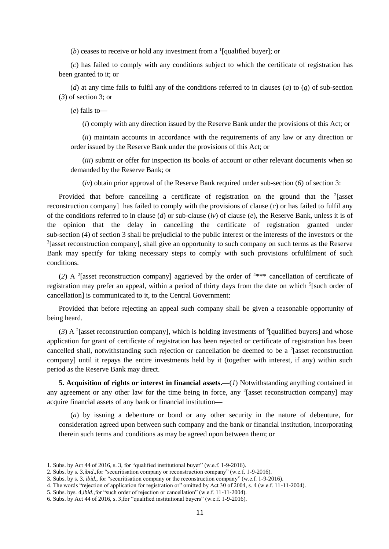(*b*) ceases to receive or hold any investment from a <sup>1</sup>[qualified buyer]; or

(*c*) has failed to comply with any conditions subject to which the certificate of registration has been granted to it; or

(*d*) at any time fails to fulfil any of the conditions referred to in clauses (*a*) to (*g*) of sub-section (*3*) of section 3; or

(*e*) fails to**—**

(*i*) comply with any direction issued by the Reserve Bank under the provisions of this Act; or

(*ii*) maintain accounts in accordance with the requirements of any law or any direction or order issued by the Reserve Bank under the provisions of this Act; or

(*iii*) submit or offer for inspection its books of account or other relevant documents when so demanded by the Reserve Bank; or

(*iv*) obtain prior approval of the Reserve Bank required under sub-section (*6*) of section 3:

Provided that before cancelling a certificate of registration on the ground that the  $2$ [asset reconstruction company] has failed to comply with the provisions of clause (*c*) or has failed to fulfil any of the conditions referred to in clause (*d*) or sub-clause (*iv*) of clause (*e*), the Reserve Bank, unless it is of the opinion that the delay in cancelling the certificate of registration granted under sub-section (*4*) of section 3 shall be prejudicial to the public interest or the interests of the investors or the  $3$ [asset reconstruction company], shall give an opportunity to such company on such terms as the Reserve Bank may specify for taking necessary steps to comply with such provisions orfulfilment of such conditions.

(2) A <sup>2</sup> [asset reconstruction company] aggrieved by the order of  $4***$  cancellation of certificate of registration may prefer an appeal, within a period of thirty days from the date on which <sup>5</sup>[such order of cancellation] is communicated to it, to the Central Government:

Provided that before rejecting an appeal such company shall be given a reasonable opportunity of being heard.

(3) A <sup>2</sup>[asset reconstruction company], which is holding investments of <sup>6</sup>[qualified buyers] and whose application for grant of certificate of registration has been rejected or certificate of registration has been cancelled shall, notwithstanding such rejection or cancellation be deemed to be a  $2$ [asset reconstruction company] until it repays the entire investments held by it (together with interest, if any) within such period as the Reserve Bank may direct.

**5. Acquisition of rights or interest in financial assets.—**(*1*) Notwithstanding anything contained in any agreement or any other law for the time being in force, any <sup>2</sup>[asset reconstruction company] may acquire financial assets of any bank or financial institution**—**

(*a*) by issuing a debenture or bond or any other security in the nature of debenture, for consideration agreed upon between such company and the bank or financial institution, incorporating therein such terms and conditions as may be agreed upon between them; or

<sup>1.</sup> Subs. by Act 44 of 2016, s. 3, for "qualified institutional buyer" (w.e.f. 1-9-2016).

<sup>2.</sup> Subs. by s. 3,*ibid*.,for "securitisation company or reconstruction company" (w.e.f. 1-9-2016).

<sup>3.</sup> Subs. by s. 3, *ibid*., for "securitisation company or the reconstruction company" (w.e.f. 1-9-2016).

<sup>4.</sup> The words "rejection of application for registration or" omitted by Act 30 of 2004, s. 4 (w.e.f. 11-11-2004).

<sup>5.</sup> Subs. bys. 4,*ibid*.,for "such order of rejection or cancellation" (w.e.f. 11-11-2004).

<sup>6.</sup> Subs. by Act 44 of 2016, s. 3,for "qualified institutional buyers" (w.e.f. 1-9-2016).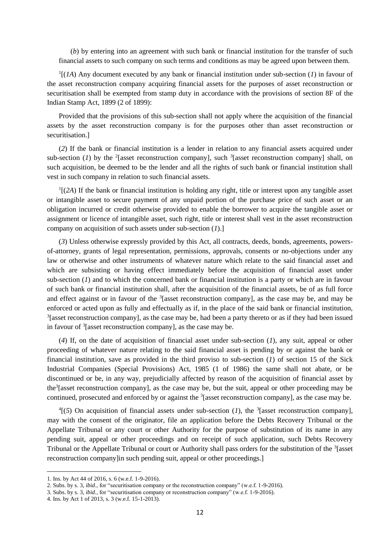(*b*) by entering into an agreement with such bank or financial institution for the transfer of such financial assets to such company on such terms and conditions as may be agreed upon between them.

1 [(*1A*) Any document executed by any bank or financial institution under sub-section (*1*) in favour of the asset reconstruction company acquiring financial assets for the purposes of asset reconstruction or securitisation shall be exempted from stamp duty in accordance with the provisions of section 8F of the Indian Stamp Act, 1899 (2 of 1899):

Provided that the provisions of this sub-section shall not apply where the acquisition of the financial assets by the asset reconstruction company is for the purposes other than asset reconstruction or securitisation.]

(*2*) If the bank or financial institution is a lender in relation to any financial assets acquired under sub-section (*1*) by the <sup>2</sup>[asset reconstruction company], such <sup>3</sup>[asset reconstruction company] shall, on such acquisition, be deemed to be the lender and all the rights of such bank or financial institution shall vest in such company in relation to such financial assets.

<sup>1</sup>[(2A) If the bank or financial institution is holding any right, title or interest upon any tangible asset or intangible asset to secure payment of any unpaid portion of the purchase price of such asset or an obligation incurred or credit otherwise provided to enable the borrower to acquire the tangible asset or assignment or licence of intangible asset, such right, title or interest shall vest in the asset reconstruction company on acquisition of such assets under sub-section (*1*).]

(*3*) Unless otherwise expressly provided by this Act, all contracts, deeds, bonds, agreements, powersof-attorney, grants of legal representation, permissions, approvals, consents or no-objections under any law or otherwise and other instruments of whatever nature which relate to the said financial asset and which are subsisting or having effect immediately before the acquisition of financial asset under sub-section (*1*) and to which the concerned bank or financial institution is a party or which are in favour of such bank or financial institution shall, after the acquisition of the financial assets, be of as full force and effect against or in favour of the  $3$ [asset reconstruction company], as the case may be, and may be enforced or acted upon as fully and effectually as if, in the place of the said bank or financial institution,  $3$ [asset reconstruction company], as the case may be, had been a party thereto or as if they had been issued in favour of <sup>3</sup> [asset reconstruction company], as the case may be.

(*4*) If, on the date of acquisition of financial asset under sub-section (*1*), any suit, appeal or other proceeding of whatever nature relating to the said financial asset is pending by or against the bank or financial institution, save as provided in the third proviso to sub-section (*1*) of section 15 of the Sick Industrial Companies (Special Provisions) Act, 1985 (1 of 1986) the same shall not abate, or be discontinued or be, in any way, prejudicially affected by reason of the acquisition of financial asset by the<sup>3</sup>[asset reconstruction company], as the case may be, but the suit, appeal or other proceeding may be continued, prosecuted and enforced by or against the <sup>3</sup>[asset reconstruction company], as the case may be.

 $^{4}$ [(5) On acquisition of financial assets under sub-section (*1*), the <sup>3</sup>[asset reconstruction company], may with the consent of the originator, file an application before the Debts Recovery Tribunal or the Appellate Tribunal or any court or other Authority for the purpose of substitution of its name in any pending suit, appeal or other proceedings and on receipt of such application, such Debts Recovery Tribunal or the Appellate Tribunal or court or Authority shall pass orders for the substitution of the <sup>3</sup>[asset reconstruction company]in such pending suit, appeal or other proceedings.]

<sup>1.</sup> Ins. by Act 44 of 2016, s. 6 (w.e.f. 1-9-2016).

<sup>2.</sup> Subs. by s. 3, *ibid*., for "securitisation company or the reconstruction company" (w.e.f. 1-9-2016).

<sup>3.</sup> Subs. by s. 3, *ibid*., for "securitisation company or reconstruction company" (w.e.f. 1-9-2016).

<sup>4.</sup> Ins. by Act 1 of 2013, s. 3 (w.e.f. 15-1-2013).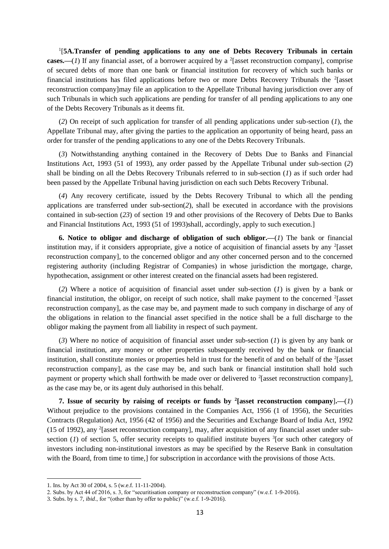<sup>1</sup>[5A.Transfer of pending applications to any one of Debts Recovery Tribunals in certain **cases.**—(*1*) If any financial asset, of a borrower acquired by a <sup>2</sup>[asset reconstruction company], comprise of secured debts of more than one bank or financial institution for recovery of which such banks or financial institutions has filed applications before two or more Debts Recovery Tribunals the <sup>2</sup>[asset reconstruction company]may file an application to the Appellate Tribunal having jurisdiction over any of such Tribunals in which such applications are pending for transfer of all pending applications to any one of the Debts Recovery Tribunals as it deems fit.

(*2*) On receipt of such application for transfer of all pending applications under sub-section (*1*), the Appellate Tribunal may, after giving the parties to the application an opportunity of being heard, pass an order for transfer of the pending applications to any one of the Debts Recovery Tribunals.

(*3*) Notwithstanding anything contained in the Recovery of Debts Due to Banks and Financial Institutions Act, 1993 (51 of 1993), any order passed by the Appellate Tribunal under sub-section (*2*) shall be binding on all the Debts Recovery Tribunals referred to in sub-section (*1*) as if such order had been passed by the Appellate Tribunal having jurisdiction on each such Debts Recovery Tribunal.

(*4*) Any recovery certificate, issued by the Debts Recovery Tribunal to which all the pending applications are transferred under sub-section(*2*), shall be executed in accordance with the provisions contained in sub-section (*23*) of section 19 and other provisions of the Recovery of Debts Due to Banks and Financial Institutions Act, 1993 (51 of 1993)shall, accordingly, apply to such execution.]

**6. Notice to obligor and discharge of obligation of such obligor.—**(*1*) The bank or financial institution may, if it considers appropriate, give a notice of acquisition of financial assets by any <sup>2</sup>[asset reconstruction company], to the concerned obligor and any other concerned person and to the concerned registering authority (including Registrar of Companies) in whose jurisdiction the mortgage, charge, hypothecation, assignment or other interest created on the financial assets had been registered.

(*2*) Where a notice of acquisition of financial asset under sub-section (*1*) is given by a bank or financial institution, the obligor, on receipt of such notice, shall make payment to the concerned <sup>2</sup>[asset reconstruction company], as the case may be, and payment made to such company in discharge of any of the obligations in relation to the financial asset specified in the notice shall be a full discharge to the obligor making the payment from all liability in respect of such payment.

(*3*) Where no notice of acquisition of financial asset under sub-section (*1*) is given by any bank or financial institution, any money or other properties subsequently received by the bank or financial institution, shall constitute monies or properties held in trust for the benefit of and on behalf of the <sup>2</sup>[asset reconstruction company], as the case may be, and such bank or financial institution shall hold such payment or property which shall forthwith be made over or delivered to  $^{2}$  [asset reconstruction company], as the case may be, or its agent duly authorised in this behalf.

**7.** Issue of security by raising of receipts or funds by <sup>2</sup>[asset reconstruction company].—(*1*) Without prejudice to the provisions contained in the Companies Act, 1956 (1 of 1956), the Securities Contracts (Regulation) Act, 1956 (42 of 1956) and the Securities and Exchange Board of India Act, 1992 (15 of 1992), any <sup>2</sup> [asset reconstruction company], may, after acquisition of any financial asset under subsection  $(1)$  of section 5, offer security receipts to qualified institute buyers  ${}^{3}$  [or such other category of investors including non-institutional investors as may be specified by the Reserve Bank in consultation with the Board, from time to time,] for subscription in accordance with the provisions of those Acts.

<sup>1.</sup> Ins. by Act 30 of 2004, s. 5 (w.e.f. 11-11-2004).

<sup>2.</sup> Subs. by Act 44 of 2016, s. 3, for "securitisation company or reconstruction company" (w.e.f. 1-9-2016).

<sup>3.</sup> Subs. by s. 7, *ibid*., for "(other than by offer to public)" (w.e.f. 1-9-2016).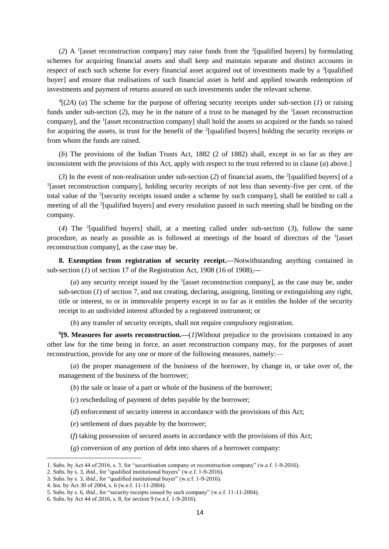(2) A <sup>1</sup>[asset reconstruction company] may raise funds from the <sup>2</sup>[qualified buyers] by formulating schemes for acquiring financial assets and shall keep and maintain separate and distinct accounts in respect of each such scheme for every financial asset acquired out of investments made by a <sup>3</sup>[qualified buyer] and ensure that realisations of such financial asset is held and applied towards redemption of investments and payment of returns assured on such investments under the relevant scheme.

4 [(*2A*) (*a*) The scheme for the purpose of offering security receipts under sub-section (*1*) or raising funds under sub-section (2), may be in the nature of a trust to be managed by the <sup>1</sup>[asset reconstruction company], and the <sup>1</sup>[asset reconstruction company] shall hold the assets so acquired or the funds so raised for acquiring the assets, in trust for the benefit of the <sup>2</sup>[qualified buyers] holding the security receipts or from whom the funds are raised.

(*b*) The provisions of the Indian Trusts Act, 1882 (2 of 1882) shall, except in so far as they are inconsistent with the provisions of this Act, apply with respect to the trust referred to in clause (*a*) above.]

(3) In the event of non-realisation under sub-section (2) of financial assets, the <sup>2</sup>[qualified buyers] of a <sup>1</sup>[asset reconstruction company], holding security receipts of not less than seventy-five per cent. of the total value of the <sup>5</sup>[security receipts issued under a scheme by such company], shall be entitled to call a meeting of all the <sup>2</sup>[qualified buyers] and every resolution passed in such meeting shall be binding on the company.

(4) The <sup>2</sup>[qualified buyers] shall, at a meeting called under sub-section (3), follow the same procedure, as nearly as possible as is followed at meetings of the board of directors of the <sup>1</sup> [asset reconstruction company], as the case may be.

**8. Exemption from registration of security receipt.—**Notwithstanding anything contained in sub-section (*1*) of section 17 of the Registration Act, 1908 (16 of 1908),**—**

 $(a)$  any security receipt issued by the <sup>1</sup>[asset reconstruction company], as the case may be, under sub-section (*1*) of section 7, and not creating, declaring, assigning, limiting or extinguishing any right, title or interest, to or in immovable property except in so far as it entitles the holder of the security receipt to an undivided interest afforded by a registered instrument; or

(*b*) any transfer of security receipts, shall not require compulsory registration.

**6 [9. Measures for assets reconstruction.—**(*1*)Without prejudice to the provisions contained in any other law for the time being in force, an asset reconstruction company may, for the purposes of asset reconstruction, provide for any one or more of the following measures, namely:—

(*a*) the proper management of the business of the borrower, by change in, or take over of, the management of the business of the borrower;

(*b*) the sale or lease of a part or whole of the business of the borrower;

(*c*) rescheduling of payment of debts payable by the borrower;

(*d*) enforcement of security interest in accordance with the provisions of this Act;

(*e*) settlement of dues payable by the borrower;

(*f*) taking possession of secured assets in accordance with the provisions of this Act;

(*g*) conversion of any portion of debt into shares of a borrower company:

<sup>1.</sup> Subs. by Act 44 of 2016, s. 3, for "securitisation company or reconstruction company" (w.e.f. 1-9-2016).

<sup>2.</sup> Subs. by s. 3, *ibid*., for "qualified institutional buyers" (w.e.f. 1-9-2016).

<sup>3.</sup> Subs. by s. 3, *ibid*., for "qualified institutional buyer" (w.e.f. 1-9-2016).

<sup>4.</sup> Ins. by Act 30 of 2004, s. 6 (w.e.f. 11-11-2004).

<sup>5.</sup> Subs. by s. 6, *ibid*., for "security receipts issued by such company" (w.e.f. 11-11-2004).

<sup>6.</sup> Subs. by Act 44 of 2016, s. 8, for section 9 (w.e.f. 1-9-2016).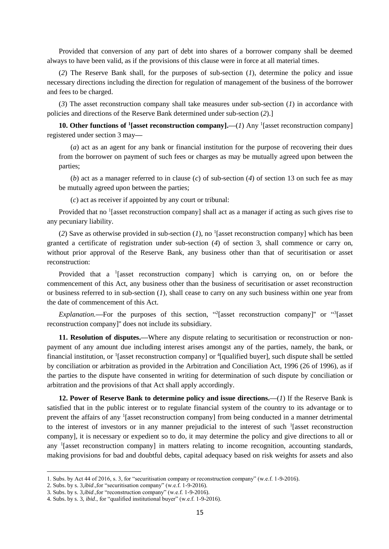Provided that conversion of any part of debt into shares of a borrower company shall be deemed always to have been valid, as if the provisions of this clause were in force at all material times.

(*2*) The Reserve Bank shall, for the purposes of sub-section (*1*), determine the policy and issue necessary directions including the direction for regulation of management of the business of the borrower and fees to be charged.

(*3*) The asset reconstruction company shall take measures under sub-section (*1*) in accordance with policies and directions of the Reserve Bank determined under sub-section (*2*).]

**10. Other functions of <sup>1</sup>[asset reconstruction company].—(***1***) Any <sup>1</sup>[asset reconstruction company]** registered under section 3 may**—**

(*a*) act as an agent for any bank or financial institution for the purpose of recovering their dues from the borrower on payment of such fees or charges as may be mutually agreed upon between the parties;

(*b*) act as a manager referred to in clause (*c*) of sub-section (*4*) of section 13 on such fee as may be mutually agreed upon between the parties;

(*c*) act as receiver if appointed by any court or tribunal:

Provided that no <sup>1</sup>[asset reconstruction company] shall act as a manager if acting as such gives rise to any pecuniary liability.

(2) Save as otherwise provided in sub-section  $(I)$ , no <sup>1</sup>[asset reconstruction company] which has been granted a certificate of registration under sub-section (*4*) of section 3, shall commence or carry on, without prior approval of the Reserve Bank, any business other than that of securitisation or asset reconstruction:

Provided that a  $\frac{1}{2}$  [asset reconstruction company] which is carrying on, on or before the commencement of this Act, any business other than the business of securitisation or asset reconstruction or business referred to in sub-section (*1*), shall cease to carry on any such business within one year from the date of commencement of this Act.

*Explanation*.—For the purposes of this section, "<sup>2</sup>[asset reconstruction company]" or "<sup>3</sup>[asset reconstruction company]'' does not include its subsidiary.

**11. Resolution of disputes.—**Where any dispute relating to securitisation or reconstruction or nonpayment of any amount due including interest arises amongst any of the parties, namely, the bank, or financial institution, or  $\frac{1}{2}$  [asset reconstruction company] or  $\frac{4}{2}$  [qualified buyer], such dispute shall be settled by conciliation or arbitration as provided in the Arbitration and Conciliation Act, 1996 (26 of 1996), as if the parties to the dispute have consented in writing for determination of such dispute by conciliation or arbitration and the provisions of that Act shall apply accordingly.

**12. Power of Reserve Bank to determine policy and issue directions.—**(*1*) If the Reserve Bank is satisfied that in the public interest or to regulate financial system of the country to its advantage or to prevent the affairs of any <sup>1</sup>[asset reconstruction company] from being conducted in a manner detrimental to the interest of investors or in any manner prejudicial to the interest of such  $\frac{1}{1}$  [asset reconstruction company], it is necessary or expedient so to do, it may determine the policy and give directions to all or any <sup>1</sup>[asset reconstruction company] in matters relating to income recognition, accounting standards, making provisions for bad and doubtful debts, capital adequacy based on risk weights for assets and also

<sup>1.</sup> Subs. by Act 44 of 2016, s. 3, for "securitisation company or reconstruction company" (w.e.f. 1-9-2016).

<sup>2.</sup> Subs. by s. 3,*ibid*.,for "securitisation company" (w.e.f. 1-9-2016).

<sup>3.</sup> Subs. by s. 3,*ibid*.,for "reconstruction company" (w.e.f. 1-9-2016).

<sup>4.</sup> Subs. by s. 3, *ibid*., for "qualified institutional buyer" (w.e.f. 1-9-2016).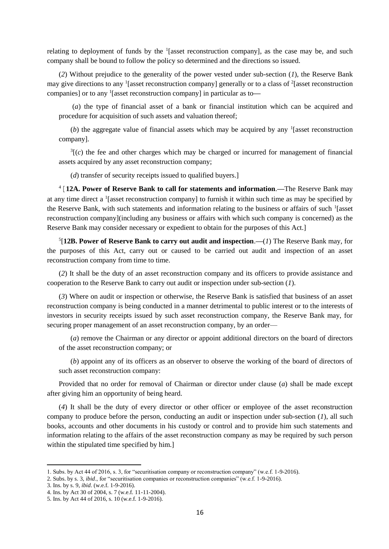relating to deployment of funds by the  $\frac{1}{2}$  [asset reconstruction company], as the case may be, and such company shall be bound to follow the policy so determined and the directions so issued.

(*2*) Without prejudice to the generality of the power vested under sub-section (*1*), the Reserve Bank may give directions to any <sup>1</sup>[asset reconstruction company] generally or to a class of <sup>2</sup>[asset reconstruction companies] or to any <sup>1</sup> [asset reconstruction company] in particular as to**—**

(*a*) the type of financial asset of a bank or financial institution which can be acquired and procedure for acquisition of such assets and valuation thereof;

(b) the aggregate value of financial assets which may be acquired by any  $\frac{1}{1}$  [asset reconstruction company].

 $3(c)$  the fee and other charges which may be charged or incurred for management of financial assets acquired by any asset reconstruction company;

(*d*) transfer of security receipts issued to qualified buyers.]

<sup>4</sup>[**12A. Power of Reserve Bank to call for statements and information**.**—**The Reserve Bank may at any time direct a  $\frac{1}{2}$  [asset reconstruction company] to furnish it within such time as may be specified by the Reserve Bank, with such statements and information relating to the business or affairs of such <sup>1</sup>[asset reconstruction company](including any business or affairs with which such company is concerned) as the Reserve Bank may consider necessary or expedient to obtain for the purposes of this Act.]

5 [**12B. Power of Reserve Bank to carry out audit and inspection**.**—**(*1*) The Reserve Bank may, for the purposes of this Act, carry out or caused to be carried out audit and inspection of an asset reconstruction company from time to time.

(*2*) It shall be the duty of an asset reconstruction company and its officers to provide assistance and cooperation to the Reserve Bank to carry out audit or inspection under sub-section (*1*).

(*3*) Where on audit or inspection or otherwise, the Reserve Bank is satisfied that business of an asset reconstruction company is being conducted in a manner detrimental to public interest or to the interests of investors in security receipts issued by such asset reconstruction company, the Reserve Bank may, for securing proper management of an asset reconstruction company, by an order—

(*a*) remove the Chairman or any director or appoint additional directors on the board of directors of the asset reconstruction company; or

(*b*) appoint any of its officers as an observer to observe the working of the board of directors of such asset reconstruction company:

Provided that no order for removal of Chairman or director under clause (*a*) shall be made except after giving him an opportunity of being heard.

(*4*) It shall be the duty of every director or other officer or employee of the asset reconstruction company to produce before the person, conducting an audit or inspection under sub-section (*1*), all such books, accounts and other documents in his custody or control and to provide him such statements and information relating to the affairs of the asset reconstruction company as may be required by such person within the stipulated time specified by him.]

<sup>1.</sup> Subs. by Act 44 of 2016, s. 3, for "securitisation company or reconstruction company" (w.e.f. 1-9-2016).

<sup>2.</sup> Subs. by s. 3, *ibid*., for "securitisation companies or reconstruction companies" (w.e.f. 1-9-2016).

<sup>3.</sup> Ins. by s. 9, *ibid*. (w.e.f. 1-9-2016).

<sup>4.</sup> Ins. by Act 30 of 2004, s. 7 (w.e.f. 11-11-2004).

<sup>5.</sup> Ins. by Act 44 of 2016, s. 10 (w.e.f. 1-9-2016).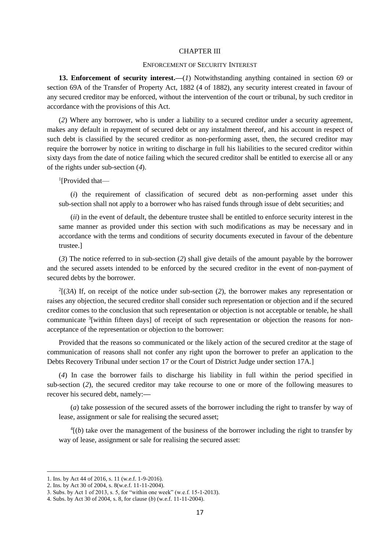#### CHAPTER III

#### ENFORCEMENT OF SECURITY INTEREST

13. Enforcement of security interest.—(*1*) Notwithstanding anything contained in section 69 or section 69A of the Transfer of Property Act, 1882 (4 of 1882), any security interest created in favour of any secured creditor may be enforced, without the intervention of the court or tribunal, by such creditor in accordance with the provisions of this Act.

(*2*) Where any borrower, who is under a liability to a secured creditor under a security agreement, makes any default in repayment of secured debt or any instalment thereof, and his account in respect of such debt is classified by the secured creditor as non-performing asset, then, the secured creditor may require the borrower by notice in writing to discharge in full his liabilities to the secured creditor within sixty days from the date of notice failing which the secured creditor shall be entitled to exercise all or any of the rights under sub-section (*4*).

<sup>1</sup>[Provided that-

(*i*) the requirement of classification of secured debt as non-performing asset under this sub-section shall not apply to a borrower who has raised funds through issue of debt securities; and

(*ii*) in the event of default, the debenture trustee shall be entitled to enforce security interest in the same manner as provided under this section with such modifications as may be necessary and in accordance with the terms and conditions of security documents executed in favour of the debenture trustee.]

(*3*) The notice referred to in sub-section (*2*) shall give details of the amount payable by the borrower and the secured assets intended to be enforced by the secured creditor in the event of non-payment of secured debts by the borrower.

 $^{2}$ [(*3A*) If, on receipt of the notice under sub-section (2), the borrower makes any representation or raises any objection, the secured creditor shall consider such representation or objection and if the secured creditor comes to the conclusion that such representation or objection is not acceptable or tenable, he shall communicate <sup>3</sup>[within fifteen days] of receipt of such representation or objection the reasons for nonacceptance of the representation or objection to the borrower:

Provided that the reasons so communicated or the likely action of the secured creditor at the stage of communication of reasons shall not confer any right upon the borrower to prefer an application to the Debts Recovery Tribunal under section 17 or the Court of District Judge under section 17A.]

(*4*) In case the borrower fails to discharge his liability in full within the period specified in sub-section (*2*), the secured creditor may take recourse to one or more of the following measures to recover his secured debt, namely:**—**

(*a*) take possession of the secured assets of the borrower including the right to transfer by way of lease, assignment or sale for realising the secured asset;

 $<sup>4</sup>[(b)$  take over the management of the business of the borrower including the right to transfer by</sup> way of lease, assignment or sale for realising the secured asset:

<sup>1.</sup> Ins. by Act 44 of 2016, s. 11 (w.e.f. 1-9-2016).

<sup>2.</sup> Ins. by Act 30 of 2004, s. 8(w.e.f. 11-11-2004).

<sup>3.</sup> Subs. by Act 1 of 2013, s. 5, for "within one week" (w.e.f. 15-1-2013).

<sup>4.</sup> Subs. by Act 30 of 2004, s. 8, for clause (*b*) (w.e.f. 11-11-2004).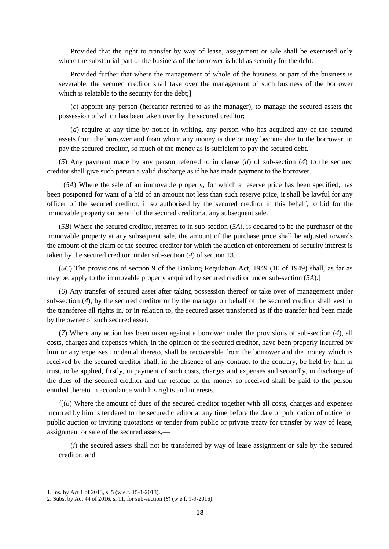Provided that the right to transfer by way of lease, assignment or sale shall be exercised only where the substantial part of the business of the borrower is held as security for the debt:

Provided further that where the management of whole of the business or part of the business is severable, the secured creditor shall take over the management of such business of the borrower which is relatable to the security for the debt;

(*c*) appoint any person (hereafter referred to as the manager), to manage the secured assets the possession of which has been taken over by the secured creditor;

(*d*) require at any time by notice in writing, any person who has acquired any of the secured assets from the borrower and from whom any money is due or may become due to the borrower, to pay the secured creditor, so much of the money as is sufficient to pay the secured debt.

(*5*) Any payment made by any person referred to in clause (*d*) of sub-section (*4*) to the secured creditor shall give such person a valid discharge as if he has made payment to the borrower.

 $<sup>1</sup>$ [(*5A*) Where the sale of an immovable property, for which a reserve price has been specified, has</sup> been postponed for want of a bid of an amount not less than such reserve price, it shall be lawful for any officer of the secured creditor, if so authorised by the secured creditor in this behalf, to bid for the immovable property on behalf of the secured creditor at any subsequent sale.

(*5B*) Where the secured creditor, referred to in sub-section (*5A*)*,* is declared to be the purchaser of the immovable property at any subsequent sale, the amount of the purchase price shall be adjusted towards the amount of the claim of the secured creditor for which the auction of enforcement of security interest is taken by the secured creditor, under sub-section (*4*) of section 13.

(*5C*) The provisions of section 9 of the Banking Regulation Act, 1949 (10 of 1949) shall, as far as may be, apply to the immovable property acquired by secured creditor under sub-section (*5A*).]

(*6*) Any transfer of secured asset after taking possession thereof or take over of management under sub-section (*4*), by the secured creditor or by the manager on behalf of the secured creditor shall vest in the transferee all rights in, or in relation to, the secured asset transferred as if the transfer had been made by the owner of such secured asset.

(*7*) Where any action has been taken against a borrower under the provisions of sub-section (*4*), all costs, charges and expenses which, in the opinion of the secured creditor, have been properly incurred by him or any expenses incidental thereto, shall be recoverable from the borrower and the money which is received by the secured creditor shall, in the absence of any contract to the contrary, be held by him in trust, to be applied, firstly, in payment of such costs, charges and expenses and secondly, in discharge of the dues of the secured creditor and the residue of the money so received shall be paid to the person entitled thereto in accordance with his rights and interests.

2 [(*8*) Where the amount of dues of the secured creditor together with all costs, charges and expenses incurred by him is tendered to the secured creditor at any time before the date of publication of notice for public auction or inviting quotations or tender from public or private treaty for transfer by way of lease, assignment or sale of the secured assets,—

(*i*) the secured assets shall not be transferred by way of lease assignment or sale by the secured creditor; and

<sup>1.</sup> Ins. by Act 1 of 2013, s. 5 (w.e.f. 15-1-2013).

<sup>2.</sup> Subs. by Act 44 of 2016, s. 11, for sub-section (*8*) (w.e.f. 1-9-2016).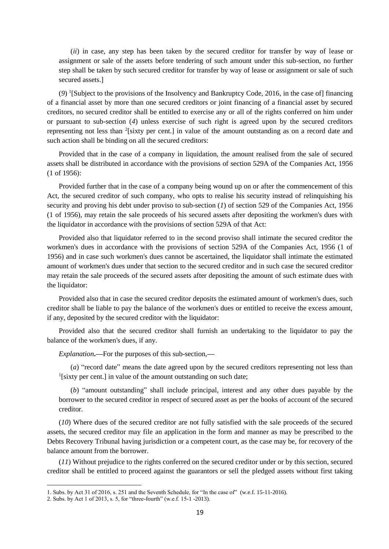(*ii*) in case, any step has been taken by the secured creditor for transfer by way of lease or assignment or sale of the assets before tendering of such amount under this sub-section, no further step shall be taken by such secured creditor for transfer by way of lease or assignment or sale of such secured assets.]

(*9*) <sup>1</sup> [Subject to the provisions of the Insolvency and Bankruptcy Code, 2016, in the case of] financing of a financial asset by more than one secured creditors or joint financing of a financial asset by secured creditors, no secured creditor shall be entitled to exercise any or all of the rights conferred on him under or pursuant to sub-section (*4*) unless exercise of such right is agreed upon by the secured creditors representing not less than <sup>2</sup>[sixty per cent.] in value of the amount outstanding as on a record date and such action shall be binding on all the secured creditors:

Provided that in the case of a company in liquidation, the amount realised from the sale of secured assets shall be distributed in accordance with the provisions of section 529A of the Companies Act, 1956 (1 of 1956):

Provided further that in the case of a company being wound up on or after the commencement of this Act, the secured creditor of such company, who opts to realise his security instead of relinquishing his security and proving his debt under proviso to sub-section (*1*) of section 529 of the Companies Act, 1956 (1 of 1956), may retain the sale proceeds of his secured assets after depositing the workmen's dues with the liquidator in accordance with the provisions of section 529A of that Act:

Provided also that liquidator referred to in the second proviso shall intimate the secured creditor the workmen's dues in accordance with the provisions of section 529A of the Companies Act, 1956 (1 of 1956) and in case such workmen's dues cannot be ascertained, the liquidator shall intimate the estimated amount of workmen's dues under that section to the secured creditor and in such case the secured creditor may retain the sale proceeds of the secured assets after depositing the amount of such estimate dues with the liquidator:

Provided also that in case the secured creditor deposits the estimated amount of workmen's dues, such creditor shall be liable to pay the balance of the workmen's dues or entitled to receive the excess amount, if any, deposited by the secured creditor with the liquidator:

Provided also that the secured creditor shall furnish an undertaking to the liquidator to pay the balance of the workmen's dues, if any.

*Explanation***.—**For the purposes of this sub-section,**—**

(*a*) "record date" means the date agreed upon by the secured creditors representing not less than <sup>1</sup>[sixty per cent.] in value of the amount outstanding on such date;

(*b*) "amount outstanding" shall include principal, interest and any other dues payable by the borrower to the secured creditor in respect of secured asset as per the books of account of the secured creditor.

(*10*) Where dues of the secured creditor are not fully satisfied with the sale proceeds of the secured assets, the secured creditor may file an application in the form and manner as may be prescribed to the Debts Recovery Tribunal having jurisdiction or a competent court, as the case may be, for recovery of the balance amount from the borrower.

(*11*) Without prejudice to the rights conferred on the secured creditor under or by this section, secured creditor shall be entitled to proceed against the guarantors or sell the pledged assets without first taking

<sup>1.</sup> Subs. by Act 31 of 2016, s. 251 and the Seventh Schedule, for "In the case of" (w.e.f. 15-11-2016).

<sup>2.</sup> Subs. by Act 1 of 2013, s. 5, for "three-fourth" (w.e.f. 15-1 -2013).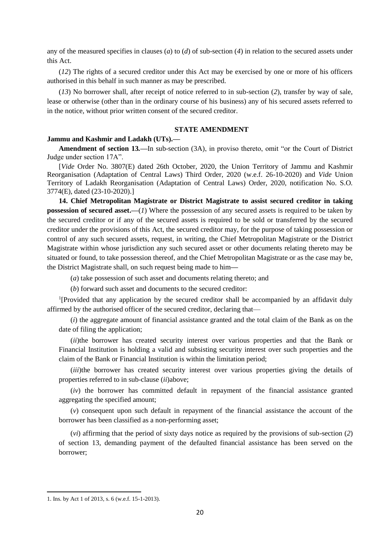any of the measured specifies in clauses (*a*) to (*d*) of sub-section (*4*) in relation to the secured assets under this Act.

(*12*) The rights of a secured creditor under this Act may be exercised by one or more of his officers authorised in this behalf in such manner as may be prescribed.

(*13*) No borrower shall, after receipt of notice referred to in sub-section (*2*), transfer by way of sale, lease or otherwise (other than in the ordinary course of his business) any of his secured assets referred to in the notice, without prior written consent of the secured creditor.

## **STATE AMENDMENT**

# **Jammu and Kashmir and Ladakh (UTs).—**

**Amendment of section 13***.—*In sub-section (3A), in proviso thereto, omit "or the Court of District Judge under section 17A".

[*Vide* Order No. 3807(E) dated 26th October, 2020, the Union Territory of Jammu and Kashmir Reorganisation (Adaptation of Central Laws) Third Order, 2020 (w.e.f. 26-10-2020) and *Vide* Union Territory of Ladakh Reorganisation (Adaptation of Central Laws) Order, 2020, notification No. S.O. 3774(E), dated (23-10-2020).]

**14. Chief Metropolitan Magistrate or District Magistrate to assist secured creditor in taking possession of secured asset.—**(*1*) Where the possession of any secured assets is required to be taken by the secured creditor or if any of the secured assets is required to be sold or transferred by the secured creditor under the provisions of this Act, the secured creditor may, for the purpose of taking possession or control of any such secured assets, request, in writing, the Chief Metropolitan Magistrate or the District Magistrate within whose jurisdiction any such secured asset or other documents relating thereto may be situated or found, to take possession thereof, and the Chief Metropolitan Magistrate or as the case may be, the District Magistrate shall, on such request being made to him**—**

(*a*) take possession of such asset and documents relating thereto; and

(*b*) forward such asset and documents to the secured creditor:

<sup>1</sup>[Provided that any application by the secured creditor shall be accompanied by an affidavit duly affirmed by the authorised officer of the secured creditor, declaring that—

(*i*) the aggregate amount of financial assistance granted and the total claim of the Bank as on the date of filing the application;

(*ii*)the borrower has created security interest over various properties and that the Bank or Financial Institution is holding a valid and subsisting security interest over such properties and the claim of the Bank or Financial Institution is within the limitation period;

(*iii*)the borrower has created security interest over various properties giving the details of properties referred to in sub-clause (*ii*)above;

(*iv*) the borrower has committed default in repayment of the financial assistance granted aggregating the specified amount;

(*v*) consequent upon such default in repayment of the financial assistance the account of the borrower has been classified as a non-performing asset;

(*vi*) affirming that the period of sixty days notice as required by the provisions of sub-section (*2*) of section 13, demanding payment of the defaulted financial assistance has been served on the borrower;

<sup>1.</sup> Ins. by Act 1 of 2013, s. 6 (w.e.f. 15-1-2013).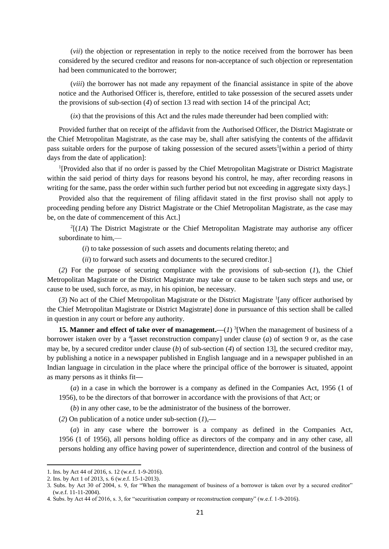(*vii*) the objection or representation in reply to the notice received from the borrower has been considered by the secured creditor and reasons for non-acceptance of such objection or representation had been communicated to the borrower;

(*viii*) the borrower has not made any repayment of the financial assistance in spite of the above notice and the Authorised Officer is, therefore, entitled to take possession of the secured assets under the provisions of sub-section (*4*) of section 13 read with section 14 of the principal Act;

(*ix*) that the provisions of this Act and the rules made thereunder had been complied with:

Provided further that on receipt of the affidavit from the Authorised Officer, the District Magistrate or the Chief Metropolitan Magistrate, as the case may be, shall after satisfying the contents of the affidavit pass suitable orders for the purpose of taking possession of the secured assets<sup>1</sup>[within a period of thirty days from the date of application]:

<sup>1</sup>[Provided also that if no order is passed by the Chief Metropolitan Magistrate or District Magistrate within the said period of thirty days for reasons beyond his control, he may, after recording reasons in writing for the same, pass the order within such further period but not exceeding in aggregate sixty days.

Provided also that the requirement of filing affidavit stated in the first proviso shall not apply to proceeding pending before any District Magistrate or the Chief Metropolitan Magistrate, as the case may be, on the date of commencement of this Act.]

 $2[(1A)$  The District Magistrate or the Chief Metropolitan Magistrate may authorise any officer subordinate to him,—

(*i*) to take possession of such assets and documents relating thereto; and

(*ii*) to forward such assets and documents to the secured creditor.]

(*2*) For the purpose of securing compliance with the provisions of sub-section (*1*), the Chief Metropolitan Magistrate or the District Magistrate may take or cause to be taken such steps and use, or cause to be used, such force, as may, in his opinion, be necessary.

(*3*) No act of the Chief Metropolitan Magistrate or the District Magistrate <sup>1</sup> [any officer authorised by the Chief Metropolitan Magistrate or District Magistrate] done in pursuance of this section shall be called in question in any court or before any authority.

**15. Manner and effect of take over of management.—(1)** <sup>3</sup>[When the management of business of a borrower istaken over by a <sup>4</sup> [asset reconstruction company] under clause  $(a)$  of section 9 or, as the case may be, by a secured creditor under clause (*b*) of sub-section (*4*) of section 13], the secured creditor may, by publishing a notice in a newspaper published in English language and in a newspaper published in an Indian language in circulation in the place where the principal office of the borrower is situated, appoint as many persons as it thinks fit**—**

(*a*) in a case in which the borrower is a company as defined in the Companies Act, 1956 (1 of 1956), to be the directors of that borrower in accordance with the provisions of that Act; or

(*b*) in any other case, to be the administrator of the business of the borrower.

(*2*) On publication of a notice under sub-section (*1*),**—**

(*a*) in any case where the borrower is a company as defined in the Companies Act, 1956 (1 of 1956), all persons holding office as directors of the company and in any other case, all persons holding any office having power of superintendence, direction and control of the business of

<sup>1.</sup> Ins. by Act 44 of 2016, s. 12 (w.e.f. 1-9-2016).

<sup>2.</sup> Ins. by Act 1 of 2013, s. 6 (w.e.f. 15-1-2013).

<sup>3.</sup> Subs. by Act 30 of 2004, s. 9, for "When the management of business of a borrower is taken over by a secured creditor" (w.e.f. 11-11-2004).

<sup>4.</sup> Subs. by Act 44 of 2016, s. 3, for "securitisation company or reconstruction company" (w.e.f. 1-9-2016).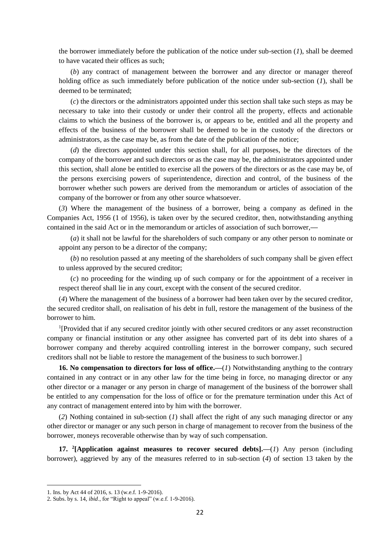the borrower immediately before the publication of the notice under sub-section (*1*), shall be deemed to have vacated their offices as such;

(*b*) any contract of management between the borrower and any director or manager thereof holding office as such immediately before publication of the notice under sub-section (*1*), shall be deemed to be terminated;

(*c*) the directors or the administrators appointed under this section shall take such steps as may be necessary to take into their custody or under their control all the property, effects and actionable claims to which the business of the borrower is, or appears to be, entitled and all the property and effects of the business of the borrower shall be deemed to be in the custody of the directors or administrators, as the case may be, as from the date of the publication of the notice;

(*d*) the directors appointed under this section shall, for all purposes, be the directors of the company of the borrower and such directors or as the case may be, the administrators appointed under this section, shall alone be entitled to exercise all the powers of the directors or as the case may be, of the persons exercising powers of superintendence, direction and control, of the business of the borrower whether such powers are derived from the memorandum or articles of association of the company of the borrower or from any other source whatsoever.

(*3*) Where the management of the business of a borrower, being a company as defined in the Companies Act, 1956 (1 of 1956), is taken over by the secured creditor, then, notwithstanding anything contained in the said Act or in the memorandum or articles of association of such borrower,**—**

(*a*) it shall not be lawful for the shareholders of such company or any other person to nominate or appoint any person to be a director of the company;

(*b*) no resolution passed at any meeting of the shareholders of such company shall be given effect to unless approved by the secured creditor;

(*c*) no proceeding for the winding up of such company or for the appointment of a receiver in respect thereof shall lie in any court, except with the consent of the secured creditor.

(*4*) Where the management of the business of a borrower had been taken over by the secured creditor, the secured creditor shall, on realisation of his debt in full, restore the management of the business of the borrower to him.

<sup>1</sup>[Provided that if any secured creditor jointly with other secured creditors or any asset reconstruction company or financial institution or any other assignee has converted part of its debt into shares of a borrower company and thereby acquired controlling interest in the borrower company, such secured creditors shall not be liable to restore the management of the business to such borrower.]

**16. No compensation to directors for loss of office.—**(*1*) Notwithstanding anything to the contrary contained in any contract or in any other law for the time being in force, no managing director or any other director or a manager or any person in charge of management of the business of the borrower shall be entitled to any compensation for the loss of office or for the premature termination under this Act of any contract of management entered into by him with the borrower.

(*2*) Nothing contained in sub-section (*1*) shall affect the right of any such managing director or any other director or manager or any such person in charge of management to recover from the business of the borrower, moneys recoverable otherwise than by way of such compensation.

**17. <sup>2</sup> [Application against measures to recover secured debts].—**(*1*) Any person (including borrower), aggrieved by any of the measures referred to in sub-section (*4*) of section 13 taken by the

<sup>1.</sup> Ins. by Act 44 of 2016, s. 13 (w.e.f. 1-9-2016).

<sup>2.</sup> Subs. by s. 14, *ibid*., for "Right to appeal" (w.e.f. 1-9-2016).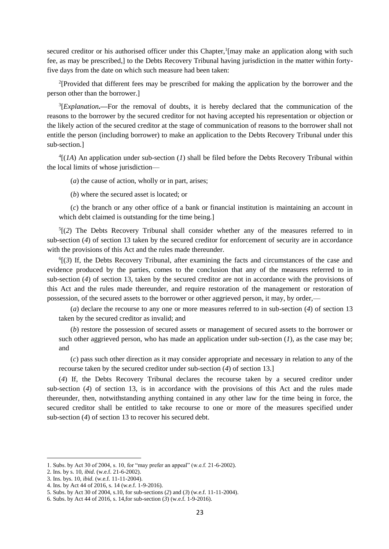secured creditor or his authorised officer under this Chapter,<sup>1</sup>[may make an application along with such fee, as may be prescribed,] to the Debts Recovery Tribunal having jurisdiction in the matter within fortyfive days from the date on which such measure had been taken:

<sup>2</sup>[Provided that different fees may be prescribed for making the application by the borrower and the person other than the borrower.]

<sup>3</sup>[*Explanation*.—For the removal of doubts, it is hereby declared that the communication of the reasons to the borrower by the secured creditor for not having accepted his representation or objection or the likely action of the secured creditor at the stage of communication of reasons to the borrower shall not entitle the person (including borrower) to make an application to the Debts Recovery Tribunal under this sub-section.]

 $^{4}$ [(*1A*) An application under sub-section (*1*) shall be filed before the Debts Recovery Tribunal within the local limits of whose jurisdiction—

(*a*) the cause of action, wholly or in part, arises;

(*b*) where the secured asset is located; or

(*c*) the branch or any other office of a bank or financial institution is maintaining an account in which debt claimed is outstanding for the time being.]

 $<sup>5</sup>$ [(2) The Debts Recovery Tribunal shall consider whether any of the measures referred to in</sup> sub-section (*4*) of section 13 taken by the secured creditor for enforcement of security are in accordance with the provisions of this Act and the rules made thereunder.

6 [(*3*) If, the Debts Recovery Tribunal, after examining the facts and circumstances of the case and evidence produced by the parties, comes to the conclusion that any of the measures referred to in sub-section (*4*) of section 13, taken by the secured creditor are not in accordance with the provisions of this Act and the rules made thereunder, and require restoration of the management or restoration of possession, of the secured assets to the borrower or other aggrieved person, it may, by order,—

(*a*) declare the recourse to any one or more measures referred to in sub-section (*4*) of section 13 taken by the secured creditor as invalid; and

(*b*) restore the possession of secured assets or management of secured assets to the borrower or such other aggrieved person, who has made an application under sub-section  $(1)$ , as the case may be; and

(*c*) pass such other direction as it may consider appropriate and necessary in relation to any of the recourse taken by the secured creditor under sub-section (*4*) of section 13.]

(*4*) If, the Debts Recovery Tribunal declares the recourse taken by a secured creditor under sub-section (*4*) of section 13, is in accordance with the provisions of this Act and the rules made thereunder, then, notwithstanding anything contained in any other law for the time being in force, the secured creditor shall be entitled to take recourse to one or more of the measures specified under sub-section (*4*) of section 13 to recover his secured debt.

<sup>1.</sup> Subs. by Act 30 of 2004, s. 10, for "may prefer an appeal" (w.e.f. 21-6-2002).

<sup>2.</sup> Ins. by s. 10, *ibid.* (w.e.f. 21-6-2002).

<sup>3.</sup> Ins. bys. 10, *ibid*. (w.e.f. 11-11-2004).

<sup>4.</sup> Ins. by Act 44 of 2016, s. 14 (w.e.f. 1-9-2016).

<sup>5.</sup> Subs. by Act 30 of 2004, s.10, for sub-sections (*2*) and (*3*) (w.e.f. 11-11-2004).

<sup>6.</sup> Subs. by Act 44 of 2016, s. 14,for sub-section (*3*) (w.e.f. 1-9-2016).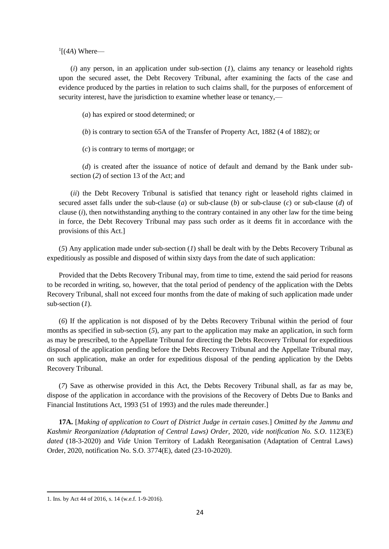$\frac{1}{4}$ [(4A) Where—

(*i*) any person, in an application under sub-section (*1*), claims any tenancy or leasehold rights upon the secured asset, the Debt Recovery Tribunal, after examining the facts of the case and evidence produced by the parties in relation to such claims shall, for the purposes of enforcement of security interest, have the jurisdiction to examine whether lease or tenancy,—

(*a*) has expired or stood determined; or

(*b*) is contrary to section 65A of the Transfer of Property Act, 1882 (4 of 1882); or

(*c*) is contrary to terms of mortgage; or

(*d*) is created after the issuance of notice of default and demand by the Bank under subsection (*2*) of section 13 of the Act; and

(*ii*) the Debt Recovery Tribunal is satisfied that tenancy right or leasehold rights claimed in secured asset falls under the sub-clause (*a*) or sub-clause (*b*) or sub-clause (*c*) or sub-clause (*d*) of clause (*i*), then notwithstanding anything to the contrary contained in any other law for the time being in force, the Debt Recovery Tribunal may pass such order as it deems fit in accordance with the provisions of this Act.]

(*5*) Any application made under sub-section (*1*) shall be dealt with by the Debts Recovery Tribunal as expeditiously as possible and disposed of within sixty days from the date of such application:

Provided that the Debts Recovery Tribunal may, from time to time, extend the said period for reasons to be recorded in writing, so, however, that the total period of pendency of the application with the Debts Recovery Tribunal, shall not exceed four months from the date of making of such application made under sub-section (*1*).

(*6*) If the application is not disposed of by the Debts Recovery Tribunal within the period of four months as specified in sub-section  $(5)$ , any part to the application may make an application, in such form as may be prescribed, to the Appellate Tribunal for directing the Debts Recovery Tribunal for expeditious disposal of the application pending before the Debts Recovery Tribunal and the Appellate Tribunal may, on such application, make an order for expeditious disposal of the pending application by the Debts Recovery Tribunal.

(*7*) Save as otherwise provided in this Act, the Debts Recovery Tribunal shall, as far as may be, dispose of the application in accordance with the provisions of the Recovery of Debts Due to Banks and Financial Institutions Act, 1993 (51 of 1993) and the rules made thereunder.]

**17A.** [*Making of application to Court of District Judge in certain cases.*] *Omitted by the Jammu and Kashmir Reorganization (Adaptation of Central Laws) Order,* 2020, *vide notification No. S.O*. 1123(E) *dated* (18-3-2020) and *Vide* Union Territory of Ladakh Reorganisation (Adaptation of Central Laws) Order, 2020, notification No. S.O. 3774(E), dated (23-10-2020).

<sup>1.</sup> Ins. by Act 44 of 2016, s. 14 (w.e.f. 1-9-2016).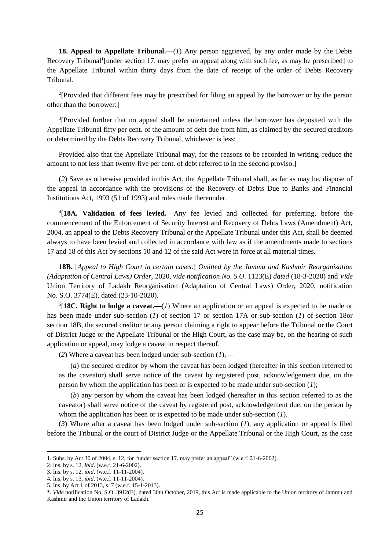**18. Appeal to Appellate Tribunal.—**(*1*) Any person aggrieved, by any order made by the Debts Recovery Tribunal<sup>1</sup>[under section 17, may prefer an appeal along with such fee, as may be prescribed] to the Appellate Tribunal within thirty days from the date of receipt of the order of Debts Recovery Tribunal.

<sup>2</sup>[Provided that different fees may be prescribed for filing an appeal by the borrower or by the person other than the borrower:]

<sup>3</sup>[Provided further that no appeal shall be entertained unless the borrower has deposited with the Appellate Tribunal fifty per cent. of the amount of debt due from him, as claimed by the secured creditors or determined by the Debts Recovery Tribunal, whichever is less:

Provided also that the Appellate Tribunal may, for the reasons to be recorded in writing, reduce the amount to not less than twenty-five per cent. of debt referred to in the second proviso.]

(*2*) Save as otherwise provided in this Act, the Appellate Tribunal shall, as far as may be, dispose of the appeal in accordance with the provisions of the Recovery of Debts Due to Banks and Financial Institutions Act, 1993 (51 of 1993) and rules made thereunder.

4 [**18A. Validation of fees levied.—**Any fee levied and collected for preferring, before the commencement of the Enforcement of Security Interest and Recovery of Debts Laws (Amendment) Act, 2004, an appeal to the Debts Recovery Tribunal or the Appellate Tribunal under this Act, shall be deemed always to have been levied and collected in accordance with law as if the amendments made to sections 17 and 18 of this Act by sections 10 and 12 of the said Act were in force at all material times.

**18B.** [*Appeal to High Court in certain cases*.] *Omitted by the Jammu and Kashmir Reorganization (Adaptation of Central Laws) Order,* 2020, *vide notification No. S.O*. 1123(E) *dated* (18-3-2020) and *Vide* Union Territory of Ladakh Reorganisation (Adaptation of Central Laws) Order, 2020, notification No. S.O. 3774(E), dated (23-10-2020).

5 [**18C. Right to lodge a caveat.—**(*1*) Where an application or an appeal is expected to be made or has been made under sub-section (*1*) of section 17 or section 17A or sub-section (*1*) of section 18or section 18B, the secured creditor or any person claiming a right to appear before the Tribunal or the Court of District Judge or the Appellate Tribunal or the High Court, as the case may be, on the hearing of such application or appeal, may lodge a caveat in respect thereof.

(*2*) Where a caveat has been lodged under sub-section (*1*),—

(*a*) the secured creditor by whom the caveat has been lodged (hereafter in this section referred to as the caveator) shall serve notice of the caveat by registered post, acknowledgement due, on the person by whom the application has been or is expected to be made under sub-section (*1*);

(*b*) any person by whom the caveat has been lodged (hereafter in this section referred to as the caveator) shall serve notice of the caveat by registered post, acknowledgement due, on the person by whom the application has been or is expected to be made under sub-section (*1*).

(*3*) Where after a caveat has been lodged under sub-section (*1*), any application or appeal is filed before the Tribunal or the court of District Judge or the Appellate Tribunal or the High Court, as the case

<sup>1.</sup> Subs. by Act 30 of 2004, s. 12, for "under section 17, may prefer an appeal" (w.e.f. 21-6-2002).

<sup>2.</sup> Ins. by s. 12, *ibid*. (w.e.f. 21-6-2002).

<sup>3.</sup> Ins. by s. 12, *ibid*. (w.e.f. 11-11-2004).

<sup>4.</sup> Ins. by s. 13, *ibid*. (w.e.f. 11-11-2004).

<sup>5.</sup> Ins. by Act 1 of 2013, s. 7 (w.e.f. 15-1-2013).

<sup>\*.</sup> *Vide* notification No. S.O. 3912(E), dated 30th October, 2019, this Act is made applicable to the Union territory of Jammu and Kashmir and the Union territory of Ladakh.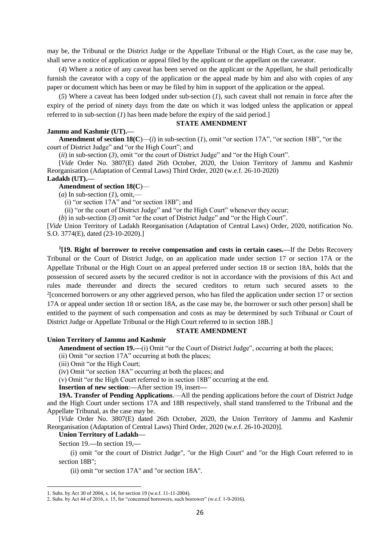may be, the Tribunal or the District Judge or the Appellate Tribunal or the High Court, as the case may be, shall serve a notice of application or appeal filed by the applicant or the appellant on the caveator.

(*4*) Where a notice of any caveat has been served on the applicant or the Appellant, he shall periodically furnish the caveator with a copy of the application or the appeal made by him and also with copies of any paper or document which has been or may be filed by him in support of the application or the appeal.

(*5*) Where a caveat has been lodged under sub-section (*1*), such caveat shall not remain in force after the expiry of the period of ninety days from the date on which it was lodged unless the application or appeal referred to in sub-section (*1*) has been made before the expiry of the said period.]

### **STATE AMENDMENT**

### **Jammu and Kashmir (UT).—**

**Amendment of section**  $18(C)$ —(*i*) in sub-section (*I*), omit "or section 17A", "or section 18B", "or the court of District Judge" and "or the High Court"; and

(*ii*) in sub-section (*3*), omit "or the court of District Judge" and "or the High Court".

[*Vide* Order No. 3807(E) dated 26th October, 2020, the Union Territory of Jammu and Kashmir Reorganisation (Adaptation of Central Laws) Third Order, 2020 (w.e.f. 26-10-2020)

#### **Ladakh (UT).—**

#### **Amendment of section 18(C**)—

 $(a)$  In sub-section  $(I)$ , omit,—

(i) "or section 17A" and "or section 18B"; and

(ii) "or the court of District Judge" and "or the High Court" whenever they occur;

(*b*) in sub-section (*3*) omit "or the court of District Judge" and "or the High Court".

[*Vide* Union Territory of Ladakh Reorganisation (Adaptation of Central Laws) Order, 2020, notification No. S.O. 3774(E), dated (23-10-2020).]

**1 [19. Right of borrower to receive compensation and costs in certain cases.—**If the Debts Recovery Tribunal or the Court of District Judge, on an application made under section 17 or section 17A or the Appellate Tribunal or the High Court on an appeal preferred under section 18 or section 18A, holds that the possession of secured assets by the secured creditor is not in accordance with the provisions of this Act and rules made thereunder and directs the secured creditors to return such secured assets to the <sup>2</sup>[concerned borrowers or any other aggrieved person, who has filed the application under section 17 or section 17A or appeal under section 18 or section 18A, as the case may be, the borrower or such other person] shall be entitled to the payment of such compensation and costs as may be determined by such Tribunal or Court of District Judge or Appellate Tribunal or the High Court referred to in section 18B.]

### **STATE AMENDMENT**

#### **Union Territory of Jammu and Kashmir**

**Amendment of section 19.—**(i) Omit "or the Court of District Judge", occurring at both the places;

(ii) Omit "or section 17A" occurring at both the places;

(iii) Omit "or the High Court;

(iv) Omit "or section 18A" occurring at both the places; and

(v) Omit "or the High Court referred to in section 18B" occurring at the end.

**Insertion of new section**:**—**After section 19, insert**—**

**19A. Transfer of Pending Applications**.—All the pending applications before the court of District Judge and the High Court under sections 17A and 18B respectively, shall stand transferred to the Tribunal and the Appellate Tribunal, as the case may be.

[*Vide* Order No. 3807(E) dated 26th October, 2020, the Union Territory of Jammu and Kashmir Reorganisation (Adaptation of Central Laws) Third Order, 2020 (w.e.f. 26-10-2020)].

**Union Territory of Ladakh—**

Section 19.**—**In section 19,**—**

**.** 

(i) omit "or the court of District Judge", "or the High Court" and "or the High Court referred to in section 18B":

(ii) omit "or section 17A" and "or section 18A".

<sup>1.</sup> Subs. by Act 30 of 2004, s. 14, for section 19 (w.e.f. 11-11-2004).

<sup>2.</sup> Subs. by Act 44 of 2016, s. 15, for "concerned borrowers, such borrower" (w.e.f. 1-9-2016).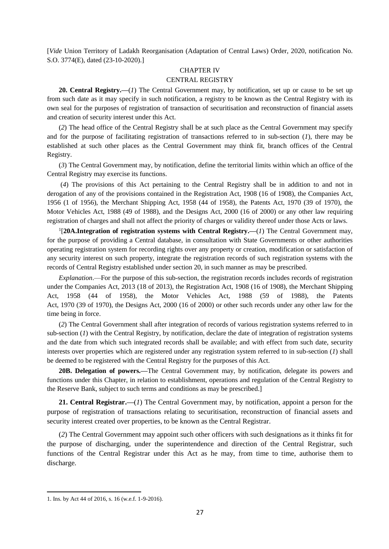[*Vide* Union Territory of Ladakh Reorganisation (Adaptation of Central Laws) Order, 2020, notification No. S.O. 3774(E), dated (23-10-2020).]

# CHAPTER IV

# CENTRAL REGISTRY

**20. Central Registry.—**(*1*) The Central Government may, by notification, set up or cause to be set up from such date as it may specify in such notification, a registry to be known as the Central Registry with its own seal for the purposes of registration of transaction of securitisation and reconstruction of financial assets and creation of security interest under this Act.

(*2*) The head office of the Central Registry shall be at such place as the Central Government may specify and for the purpose of facilitating registration of transactions referred to in sub-section (*1*), there may be established at such other places as the Central Government may think fit, branch offices of the Central Registry.

(*3*) The Central Government may, by notification, define the territorial limits within which an office of the Central Registry may exercise its functions.

(*4*) The provisions of this Act pertaining to the Central Registry shall be in addition to and not in derogation of any of the provisions contained in the Registration Act, 1908 (16 of 1908), the Companies Act, 1956 (1 of 1956), the Merchant Shipping Act, 1958 (44 of 1958), the Patents Act, 1970 (39 of 1970), the Motor Vehicles Act, 1988 (49 of 1988), and the Designs Act, 2000 (16 of 2000) or any other law requiring registration of charges and shall not affect the priority of charges or validity thereof under those Acts or laws.

<sup>1</sup>[20A.Integration of registration systems with Central Registry.—(1) The Central Government may, for the purpose of providing a Central database, in consultation with State Governments or other authorities operating registration system for recording rights over any property or creation, modification or satisfaction of any security interest on such property, integrate the registration records of such registration systems with the records of Central Registry established under section 20, in such manner as may be prescribed.

*Explanation*.—For the purpose of this sub-section, the registration records includes records of registration under the Companies Act, 2013 (18 of 2013), the Registration Act, 1908 (16 of 1908), the Merchant Shipping Act, 1958 (44 of 1958), the Motor Vehicles Act, 1988 (59 of 1988), the Patents Act, 1970 (39 of 1970), the Designs Act, 2000 (16 of 2000) or other such records under any other law for the time being in force.

(*2*) The Central Government shall after integration of records of various registration systems referred to in sub-section (*1*) with the Central Registry, by notification, declare the date of integration of registration systems and the date from which such integrated records shall be available; and with effect from such date, security interests over properties which are registered under any registration system referred to in sub-section (*1*) shall be deemed to be registered with the Central Registry for the purposes of this Act.

**20B. Delegation of powers.—**The Central Government may, by notification, delegate its powers and functions under this Chapter, in relation to establishment, operations and regulation of the Central Registry to the Reserve Bank, subject to such terms and conditions as may be prescribed.]

**21. Central Registrar.—**(*1*) The Central Government may, by notification, appoint a person for the purpose of registration of transactions relating to securitisation, reconstruction of financial assets and security interest created over properties, to be known as the Central Registrar.

(*2*) The Central Government may appoint such other officers with such designations as it thinks fit for the purpose of discharging, under the superintendence and direction of the Central Registrar, such functions of the Central Registrar under this Act as he may, from time to time, authorise them to discharge.

<sup>1.</sup> Ins. by Act 44 of 2016, s. 16 (w.e.f. 1-9-2016).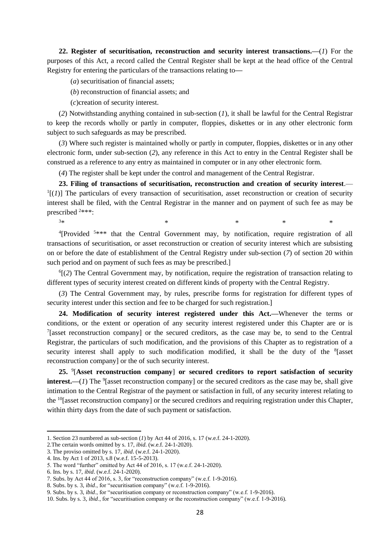**22. Register of securitisation, reconstruction and security interest transactions.—**(*1*) For the purposes of this Act, a record called the Central Register shall be kept at the head office of the Central Registry for entering the particulars of the transactions relating to**—**

(*a*) securitisation of financial assets;

(*b*) reconstruction of financial assets; and

(*c*)creation of security interest.

(*2*) Notwithstanding anything contained in sub-section (*1*), it shall be lawful for the Central Registrar to keep the records wholly or partly in computer, floppies, diskettes or in any other electronic form subject to such safeguards as may be prescribed.

(*3*) Where such register is maintained wholly or partly in computer, floppies, diskettes or in any other electronic form, under sub-section (*2*), any reference in this Act to entry in the Central Register shall be construed as a reference to any entry as maintained in computer or in any other electronic form.

(*4*) The register shall be kept under the control and management of the Central Registrar.

**23. Filing of transactions of securitisation, reconstruction and creation of security interest**.—  $<sup>1</sup>$ [(1)] The particulars of every transaction of securitisation, asset reconstruction or creation of security</sup> interest shall be filed, with the Central Registrar in the manner and on payment of such fee as may be prescribed <sup>2</sup>\*\*\*:

 $3*$  \*  $*$  \* \*

<sup>4</sup>[Provided <sup>5\*\*\*</sup> that the Central Government may, by notification, require registration of all transactions of securitisation, or asset reconstruction or creation of security interest which are subsisting on or before the date of establishment of the Central Registry under sub-section (*7*) of section 20 within such period and on payment of such fees as may be prescribed.]

<sup>6</sup>[(2) The Central Government may, by notification, require the registration of transaction relating to different types of security interest created on different kinds of property with the Central Registry.

(*3*) The Central Government may, by rules, prescribe forms for registration for different types of security interest under this section and fee to be charged for such registration.]

**24. Modification of security interest registered under this Act.—**Whenever the terms or conditions, or the extent or operation of any security interest registered under this Chapter are or is <sup>7</sup>[asset reconstruction company] or the secured creditors, as the case may be, to send to the Central Registrar, the particulars of such modification, and the provisions of this Chapter as to registration of a security interest shall apply to such modification modified, it shall be the duty of the <sup>8</sup>[asset reconstruction company] or the of such security interest.

**25.** <sup>9</sup> [**Asset reconstruction company**] **or secured creditors to report satisfaction of security interest.**—(*1*) The <sup>9</sup> [asset reconstruction company] or the secured creditors as the case may be, shall give intimation to the Central Registrar of the payment or satisfaction in full, of any security interest relating to the <sup>10</sup>[asset reconstruction company] or the secured creditors and requiring registration under this Chapter, within thirty days from the date of such payment or satisfaction.

**.** 

9. Subs. by s. 3, *ibid*., for "securitisation company or reconstruction company" (w.e.f. 1-9-2016).

10. Subs. by s. 3, *ibid*., for "securitisation company or the reconstruction company" (w.e.f. 1-9-2016).

<sup>1.</sup> Section 23 numbered as sub-section (*1*) by Act 44 of 2016, s. 17 (w.e.f. 24-1-2020).

<sup>2.</sup>The certain words omitted by s. 17, *ibid*. (w.e.f. 24-1-2020).

<sup>3.</sup> The proviso omitted by s. 17, *ibid*. (w.e.f. 24-1-2020).

<sup>4.</sup> Ins. by Act 1 of 2013, s.8 (w.e.f. 15-5-2013).

<sup>5.</sup> The word "further" omitted by Act 44 of 2016, s. 17 (w.e.f. 24-1-2020).

<sup>6.</sup> Ins. by s. 17, *ibid*. (w.e.f. 24-1-2020).

<sup>7.</sup> Subs. by Act 44 of 2016, s. 3, for "reconstruction company" (w.e.f. 1-9-2016).

<sup>8.</sup> Subs. by s. 3, *ibid*., for "securitisation company" (w.e.f. 1-9-2016).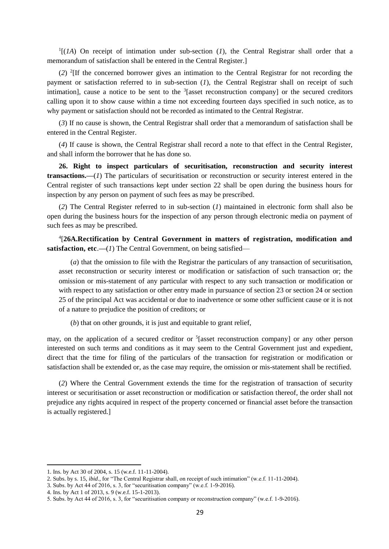$<sup>1</sup>$ [(*1A*) On receipt of intimation under sub-section (*1*), the Central Registrar shall order that a</sup> memorandum of satisfaction shall be entered in the Central Register.]

(*2*) <sup>2</sup> [If the concerned borrower gives an intimation to the Central Registrar for not recording the payment or satisfaction referred to in sub-section (*1*), the Central Registrar shall on receipt of such intimation], cause a notice to be sent to the  $3$ [asset reconstruction company] or the secured creditors calling upon it to show cause within a time not exceeding fourteen days specified in such notice, as to why payment or satisfaction should not be recorded as intimated to the Central Registrar.

(*3*) If no cause is shown, the Central Registrar shall order that a memorandum of satisfaction shall be entered in the Central Register.

(*4*) If cause is shown, the Central Registrar shall record a note to that effect in the Central Register, and shall inform the borrower that he has done so.

**26. Right to inspect particulars of securitisation, reconstruction and security interest transactions.—**(*1*) The particulars of securitisation or reconstruction or security interest entered in the Central register of such transactions kept under section 22 shall be open during the business hours for inspection by any person on payment of such fees as may be prescribed.

(*2*) The Central Register referred to in sub-section (*1*) maintained in electronic form shall also be open during the business hours for the inspection of any person through electronic media on payment of such fees as may be prescribed.

4 [**26A.Rectification by Central Government in matters of registration, modification and satisfaction, etc.—(1)** The Central Government, on being satisfied—

(*a*) that the omission to file with the Registrar the particulars of any transaction of securitisation, asset reconstruction or security interest or modification or satisfaction of such transaction or; the omission or mis-statement of any particular with respect to any such transaction or modification or with respect to any satisfaction or other entry made in pursuance of section 23 or section 24 or section 25 of the principal Act was accidental or due to inadvertence or some other sufficient cause or it is not of a nature to prejudice the position of creditors; or

(*b*) that on other grounds, it is just and equitable to grant relief,

may, on the application of a secured creditor or <sup>5</sup>[asset reconstruction company] or any other person interested on such terms and conditions as it may seem to the Central Government just and expedient, direct that the time for filing of the particulars of the transaction for registration or modification or satisfaction shall be extended or, as the case may require, the omission or mis-statement shall be rectified.

(*2*) Where the Central Government extends the time for the registration of transaction of security interest or securitisation or asset reconstruction or modification or satisfaction thereof, the order shall not prejudice any rights acquired in respect of the property concerned or financial asset before the transaction is actually registered.]

<sup>1.</sup> Ins. by Act 30 of 2004, s. 15 (w.e.f. 11-11-2004).

<sup>2.</sup> Subs. by s. 15, *ibid*., for "The Central Registrar shall, on receipt of such intimation" (w.e.f. 11-11-2004).

<sup>3.</sup> Subs. by Act 44 of 2016, s. 3, for "securitisation company" (w.e.f. 1-9-2016).

<sup>4.</sup> Ins. by Act 1 of 2013, s. 9 (w.e.f. 15-1-2013).

<sup>5.</sup> Subs. by Act 44 of 2016, s. 3, for "securitisation company or reconstruction company" (w.e.f. 1-9-2016).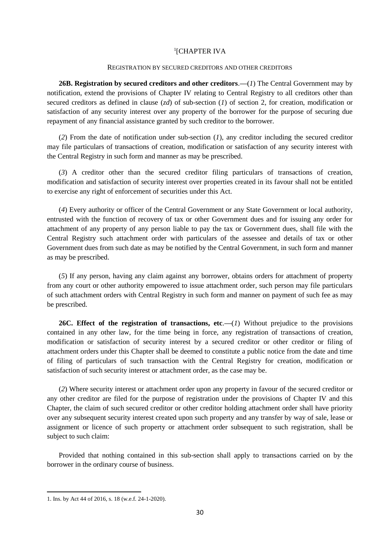## 1 [CHAPTER IVA

#### REGISTRATION BY SECURED CREDITORS AND OTHER CREDITORS

**26B. Registration by secured creditors and other creditors**.**—**(*1*) The Central Government may by notification, extend the provisions of Chapter IV relating to Central Registry to all creditors other than secured creditors as defined in clause (*zd*) of sub-section (*1*) of section 2, for creation, modification or satisfaction of any security interest over any property of the borrower for the purpose of securing due repayment of any financial assistance granted by such creditor to the borrower.

(*2*) From the date of notification under sub-section (*1*), any creditor including the secured creditor may file particulars of transactions of creation, modification or satisfaction of any security interest with the Central Registry in such form and manner as may be prescribed.

(*3*) A creditor other than the secured creditor filing particulars of transactions of creation, modification and satisfaction of security interest over properties created in its favour shall not be entitled to exercise any right of enforcement of securities under this Act.

(*4*) Every authority or officer of the Central Government or any State Government or local authority, entrusted with the function of recovery of tax or other Government dues and for issuing any order for attachment of any property of any person liable to pay the tax or Government dues, shall file with the Central Registry such attachment order with particulars of the assessee and details of tax or other Government dues from such date as may be notified by the Central Government, in such form and manner as may be prescribed.

(*5*) If any person, having any claim against any borrower, obtains orders for attachment of property from any court or other authority empowered to issue attachment order, such person may file particulars of such attachment orders with Central Registry in such form and manner on payment of such fee as may be prescribed.

26C. **Effect of the registration of transactions, etc.—(1) Without prejudice to the provisions** contained in any other law, for the time being in force, any registration of transactions of creation, modification or satisfaction of security interest by a secured creditor or other creditor or filing of attachment orders under this Chapter shall be deemed to constitute a public notice from the date and time of filing of particulars of such transaction with the Central Registry for creation, modification or satisfaction of such security interest or attachment order, as the case may be.

(*2*) Where security interest or attachment order upon any property in favour of the secured creditor or any other creditor are filed for the purpose of registration under the provisions of Chapter IV and this Chapter, the claim of such secured creditor or other creditor holding attachment order shall have priority over any subsequent security interest created upon such property and any transfer by way of sale, lease or assignment or licence of such property or attachment order subsequent to such registration, shall be subject to such claim:

Provided that nothing contained in this sub-section shall apply to transactions carried on by the borrower in the ordinary course of business.

<sup>1.</sup> Ins. by Act 44 of 2016, s. 18 (w.e.f. 24-1-2020).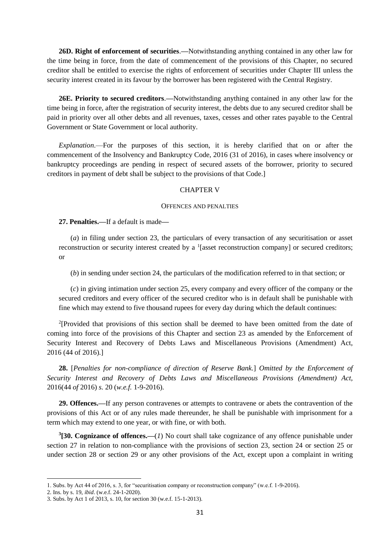**26D. Right of enforcement of securities**.**—**Notwithstanding anything contained in any other law for the time being in force, from the date of commencement of the provisions of this Chapter, no secured creditor shall be entitled to exercise the rights of enforcement of securities under Chapter III unless the security interest created in its favour by the borrower has been registered with the Central Registry.

**26E. Priority to secured creditors**.**—**Notwithstanding anything contained in any other law for the time being in force, after the registration of security interest, the debts due to any secured creditor shall be paid in priority over all other debts and all revenues, taxes, cesses and other rates payable to the Central Government or State Government or local authority.

*Explanation*.—For the purposes of this section, it is hereby clarified that on or after the commencement of the Insolvency and Bankruptcy Code, 2016 (31 of 2016), in cases where insolvency or bankruptcy proceedings are pending in respect of secured assets of the borrower, priority to secured creditors in payment of debt shall be subject to the provisions of that Code.]

# CHAPTER V

#### OFFENCES AND PENALTIES

# **27. Penalties.—**If a default is made**—**

(*a*) in filing under section 23, the particulars of every transaction of any securitisation or asset reconstruction or security interest created by a  $\frac{1}{2}$  [asset reconstruction company] or secured creditors; or

(*b*) in sending under section 24, the particulars of the modification referred to in that section; or

(*c*) in giving intimation under section 25, every company and every officer of the company or the secured creditors and every officer of the secured creditor who is in default shall be punishable with fine which may extend to five thousand rupees for every day during which the default continues:

<sup>2</sup>[Provided that provisions of this section shall be deemed to have been omitted from the date of coming into force of the provisions of this Chapter and section 23 as amended by the Enforcement of Security Interest and Recovery of Debts Laws and Miscellaneous Provisions (Amendment) Act, 2016 (44 of 2016).]

**28.** [*Penalties for non-compliance of direction of Reserve Bank.*] *Omitted by the Enforcement of Security Interest and Recovery of Debts Laws and Miscellaneous Provisions (Amendment) Act,*  2016(44 *of* 2016) *s.* 20 (*w.e.f.* 1-9-2016)*.*

**29. Offences.—**If any person contravenes or attempts to contravene or abets the contravention of the provisions of this Act or of any rules made thereunder, he shall be punishable with imprisonment for a term which may extend to one year, or with fine, or with both.

**3 [30. Cognizance of offences.—**(*1*) No court shall take cognizance of any offence punishable under section 27 in relation to non-compliance with the provisions of section 23, section 24 or section 25 or under section 28 or section 29 or any other provisions of the Act, except upon a complaint in writing

<sup>1.</sup> Subs. by Act 44 of 2016, s. 3, for "securitisation company or reconstruction company" (w.e.f. 1-9-2016).

<sup>2.</sup> Ins. by s. 19, *ibid*. (w.e.f. 24-1-2020).

<sup>3.</sup> Subs. by Act 1 of 2013, s. 10, for section 30 (w.e.f. 15-1-2013).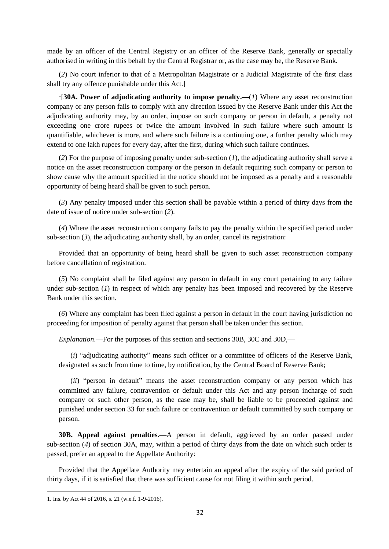made by an officer of the Central Registry or an officer of the Reserve Bank, generally or specially authorised in writing in this behalf by the Central Registrar or, as the case may be, the Reserve Bank.

(*2*) No court inferior to that of a Metropolitan Magistrate or a Judicial Magistrate of the first class shall try any offence punishable under this Act.]

<sup>1</sup>[30A. Power of adjudicating authority to impose penalty.— $(1)$  Where any asset reconstruction company or any person fails to comply with any direction issued by the Reserve Bank under this Act the adjudicating authority may, by an order, impose on such company or person in default, a penalty not exceeding one crore rupees or twice the amount involved in such failure where such amount is quantifiable, whichever is more, and where such failure is a continuing one, a further penalty which may extend to one lakh rupees for every day, after the first, during which such failure continues.

(*2*) For the purpose of imposing penalty under sub-section (*1*), the adjudicating authority shall serve a notice on the asset reconstruction company or the person in default requiring such company or person to show cause why the amount specified in the notice should not be imposed as a penalty and a reasonable opportunity of being heard shall be given to such person.

(*3*) Any penalty imposed under this section shall be payable within a period of thirty days from the date of issue of notice under sub-section (*2*).

(*4*) Where the asset reconstruction company fails to pay the penalty within the specified period under sub-section  $(3)$ , the adjudicating authority shall, by an order, cancel its registration:

Provided that an opportunity of being heard shall be given to such asset reconstruction company before cancellation of registration.

(*5*) No complaint shall be filed against any person in default in any court pertaining to any failure under sub-section (*1*) in respect of which any penalty has been imposed and recovered by the Reserve Bank under this section.

(*6*) Where any complaint has been filed against a person in default in the court having jurisdiction no proceeding for imposition of penalty against that person shall be taken under this section.

*Explanation*.—For the purposes of this section and sections 30B, 30C and 30D,—

(*i*) "adjudicating authority" means such officer or a committee of officers of the Reserve Bank, designated as such from time to time, by notification, by the Central Board of Reserve Bank;

(*ii*) "person in default" means the asset reconstruction company or any person which has committed any failure, contravention or default under this Act and any person incharge of such company or such other person, as the case may be, shall be liable to be proceeded against and punished under section 33 for such failure or contravention or default committed by such company or person.

**30B. Appeal against penalties.—**A person in default, aggrieved by an order passed under sub-section (*4*) of section 30A, may, within a period of thirty days from the date on which such order is passed, prefer an appeal to the Appellate Authority:

Provided that the Appellate Authority may entertain an appeal after the expiry of the said period of thirty days, if it is satisfied that there was sufficient cause for not filing it within such period.

<sup>1.</sup> Ins. by Act 44 of 2016, s. 21 (w.e.f. 1-9-2016).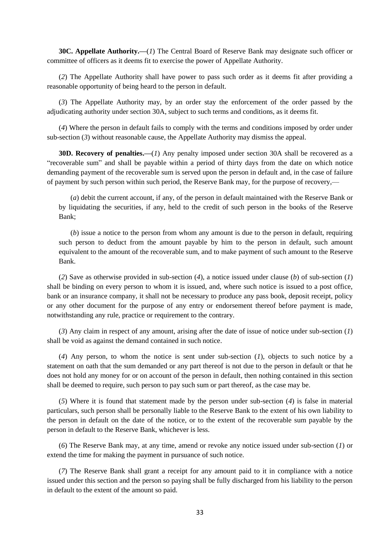**30C. Appellate Authority.—**(*1*) The Central Board of Reserve Bank may designate such officer or committee of officers as it deems fit to exercise the power of Appellate Authority.

(*2*) The Appellate Authority shall have power to pass such order as it deems fit after providing a reasonable opportunity of being heard to the person in default.

(*3*) The Appellate Authority may, by an order stay the enforcement of the order passed by the adjudicating authority under section 30A, subject to such terms and conditions, as it deems fit.

(*4*) Where the person in default fails to comply with the terms and conditions imposed by order under sub-section (*3*) without reasonable cause, the Appellate Authority may dismiss the appeal.

**30D. Recovery of penalties.—**(*1*) Any penalty imposed under section 30A shall be recovered as a "recoverable sum" and shall be payable within a period of thirty days from the date on which notice demanding payment of the recoverable sum is served upon the person in default and, in the case of failure of payment by such person within such period, the Reserve Bank may, for the purpose of recovery,—

(*a*) debit the current account, if any, of the person in default maintained with the Reserve Bank or by liquidating the securities, if any, held to the credit of such person in the books of the Reserve Bank;

(*b*) issue a notice to the person from whom any amount is due to the person in default, requiring such person to deduct from the amount payable by him to the person in default, such amount equivalent to the amount of the recoverable sum, and to make payment of such amount to the Reserve Bank.

(*2*) Save as otherwise provided in sub-section (*4*), a notice issued under clause (*b*) of sub-section (*1*) shall be binding on every person to whom it is issued, and, where such notice is issued to a post office, bank or an insurance company, it shall not be necessary to produce any pass book, deposit receipt, policy or any other document for the purpose of any entry or endorsement thereof before payment is made, notwithstanding any rule, practice or requirement to the contrary.

(*3*) Any claim in respect of any amount, arising after the date of issue of notice under sub-section (*1*) shall be void as against the demand contained in such notice.

(*4*) Any person, to whom the notice is sent under sub-section (*1*), objects to such notice by a statement on oath that the sum demanded or any part thereof is not due to the person in default or that he does not hold any money for or on account of the person in default, then nothing contained in this section shall be deemed to require, such person to pay such sum or part thereof, as the case may be.

(*5*) Where it is found that statement made by the person under sub-section (*4*) is false in material particulars, such person shall be personally liable to the Reserve Bank to the extent of his own liability to the person in default on the date of the notice, or to the extent of the recoverable sum payable by the person in default to the Reserve Bank, whichever is less.

(*6*) The Reserve Bank may, at any time, amend or revoke any notice issued under sub-section (*1*) or extend the time for making the payment in pursuance of such notice.

(*7*) The Reserve Bank shall grant a receipt for any amount paid to it in compliance with a notice issued under this section and the person so paying shall be fully discharged from his liability to the person in default to the extent of the amount so paid.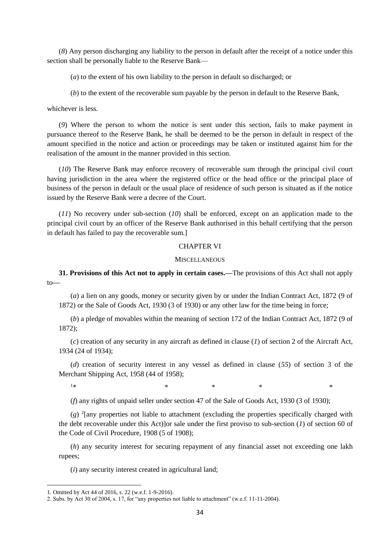(*8*) Any person discharging any liability to the person in default after the receipt of a notice under this section shall be personally liable to the Reserve Bank—

(*a*) to the extent of his own liability to the person in default so discharged; or

(*b*) to the extent of the recoverable sum payable by the person in default to the Reserve Bank,

whichever is less.

(*9*) Where the person to whom the notice is sent under this section, fails to make payment in pursuance thereof to the Reserve Bank, he shall be deemed to be the person in default in respect of the amount specified in the notice and action or proceedings may be taken or instituted against him for the realisation of the amount in the manner provided in this section.

(*10*) The Reserve Bank may enforce recovery of recoverable sum through the principal civil court having jurisdiction in the area where the registered office or the head office or the principal place of business of the person in default or the usual place of residence of such person is situated as if the notice issued by the Reserve Bank were a decree of the Court.

(*11*) No recovery under sub-section (*10*) shall be enforced, except on an application made to the principal civil court by an officer of the Reserve Bank authorised in this behalf certifying that the person in default has failed to pay the recoverable sum.]

# CHAPTER VI

### **MISCELLANEOUS**

**31. Provisions of this Act not to apply in certain cases.—**The provisions of this Act shall not apply to**—**

(*a*) a lien on any goods, money or security given by or under the Indian Contract Act, 1872 (9 of 1872) or the Sale of Goods Act, 1930 (3 of 1930) or any other law for the time being in force;

(*b*) a pledge of movables within the meaning of section 172 of the Indian Contract Act, 1872 (9 of 1872);

(*c*) creation of any security in any aircraft as defined in clause (*1*) of section 2 of the Aircraft Act, 1934 (24 of 1934);

(*d*) creation of security interest in any vessel as defined in clause (*55*) of section 3 of the Merchant Shipping Act, 1958 (44 of 1958);

**.** 

 $1*$  \* \* \* \* \*

(*f*) any rights of unpaid seller under section 47 of the Sale of Goods Act, 1930 (3 of 1930);

(*g*) <sup>2</sup> [any properties not liable to attachment (excluding the properties specifically charged with the debt recoverable under this Act)]or sale under the first proviso to sub-section (*1*) of section 60 of the Code of Civil Procedure, 1908 (5 of 1908);

(*h*) any security interest for securing repayment of any financial asset not exceeding one lakh rupees;

(*i*) any security interest created in agricultural land;

<sup>1.</sup> Omitted by Act 44 of 2016, s. 22 (w.e.f. 1-9-2016).

<sup>2.</sup> Subs. by Act 30 of 2004, s. 17, for "any properties not liable to attachment" (w.e.f. 11-11-2004).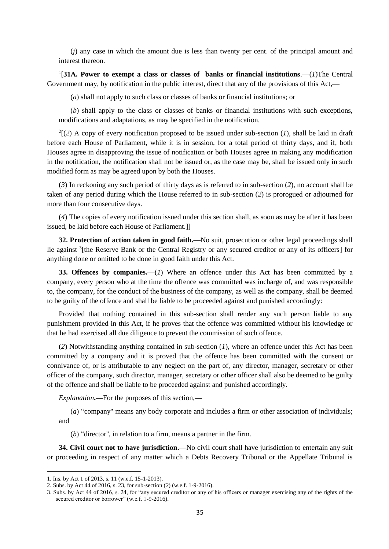(*j*) any case in which the amount due is less than twenty per cent. of the principal amount and interest thereon.

1 [**31A. Power to exempt a class or classes of banks or financial institutions**.—(*1*)The Central Government may, by notification in the public interest, direct that any of the provisions of this Act,—

(*a*) shall not apply to such class or classes of banks or financial institutions; or

(*b*) shall apply to the class or classes of banks or financial institutions with such exceptions, modifications and adaptations, as may be specified in the notification.

 $2(2)$  A copy of every notification proposed to be issued under sub-section (*1*), shall be laid in draft before each House of Parliament, while it is in session, for a total period of thirty days, and if, both Houses agree in disapproving the issue of notification or both Houses agree in making any modification in the notification, the notification shall not be issued or, as the case may be, shall be issued only in such modified form as may be agreed upon by both the Houses.

(*3*) In reckoning any such period of thirty days as is referred to in sub-section (*2*), no account shall be taken of any period during which the House referred to in sub-section (*2*) is prorogued or adjourned for more than four consecutive days.

(*4*) The copies of every notification issued under this section shall, as soon as may be after it has been issued, be laid before each House of Parliament.]]

**32. Protection of action taken in good faith.—**No suit, prosecution or other legal proceedings shall lie against <sup>3</sup> [the Reserve Bank or the Central Registry or any secured creditor or any of its officers] for anything done or omitted to be done in good faith under this Act.

**33. Offences by companies.—**(*1*) Where an offence under this Act has been committed by a company, every person who at the time the offence was committed was incharge of, and was responsible to, the company, for the conduct of the business of the company, as well as the company, shall be deemed to be guilty of the offence and shall be liable to be proceeded against and punished accordingly:

Provided that nothing contained in this sub-section shall render any such person liable to any punishment provided in this Act, if he proves that the offence was committed without his knowledge or that he had exercised all due diligence to prevent the commission of such offence.

(*2*) Notwithstanding anything contained in sub-section (*1*), where an offence under this Act has been committed by a company and it is proved that the offence has been committed with the consent or connivance of, or is attributable to any neglect on the part of, any director, manager, secretary or other officer of the company, such director, manager, secretary or other officer shall also be deemed to be guilty of the offence and shall be liable to be proceeded against and punished accordingly.

*Explanation***.—**For the purposes of this section,**—**

(*a*) "company'' means any body corporate and includes a firm or other association of individuals; and

(*b*) "director'', in relation to a firm, means a partner in the firm.

**34. Civil court not to have jurisdiction.—**No civil court shall have jurisdiction to entertain any suit or proceeding in respect of any matter which a Debts Recovery Tribunal or the Appellate Tribunal is

<sup>1.</sup> Ins. by Act 1 of 2013, s. 11 (w.e.f. 15-1-2013).

<sup>2.</sup> Subs. by Act 44 of 2016, s. 23, for sub-section (*2*) (w.e.f. 1-9-2016).

<sup>3.</sup> Subs. by Act 44 of 2016, s. 24, for "any secured creditor or any of his officers or manager exercising any of the rights of the secured creditor or borrower" (w.e.f. 1-9-2016).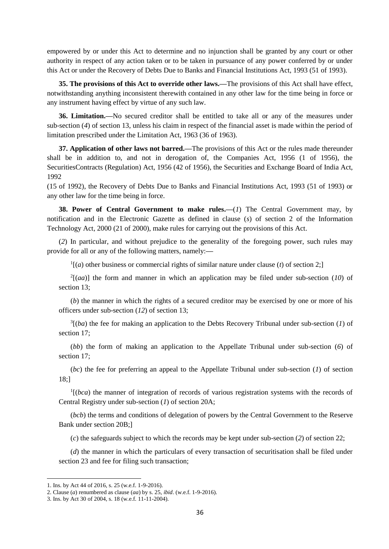empowered by or under this Act to determine and no injunction shall be granted by any court or other authority in respect of any action taken or to be taken in pursuance of any power conferred by or under this Act or under the Recovery of Debts Due to Banks and Financial Institutions Act, 1993 (51 of 1993).

**35. The provisions of this Act to override other laws.—**The provisions of this Act shall have effect, notwithstanding anything inconsistent therewith contained in any other law for the time being in force or any instrument having effect by virtue of any such law.

**36. Limitation.—**No secured creditor shall be entitled to take all or any of the measures under sub-section (*4*) of section 13, unless his claim in respect of the financial asset is made within the period of limitation prescribed under the Limitation Act, 1963 (36 of 1963).

**37. Application of other laws not barred.—**The provisions of this Act or the rules made thereunder shall be in addition to, and not in derogation of, the Companies Act, 1956 (1 of 1956), the SecuritiesContracts (Regulation) Act, 1956 (42 of 1956), the Securities and Exchange Board of India Act, 1992

(15 of 1992), the Recovery of Debts Due to Banks and Financial Institutions Act, 1993 (51 of 1993) or any other law for the time being in force.

**38. Power of Central Government to make rules.—**(*1*) The Central Government may, by notification and in the Electronic Gazette as defined in clause (*s*) of section 2 of the Information Technology Act, 2000 (21 of 2000), make rules for carrying out the provisions of this Act.

(*2*) In particular, and without prejudice to the generality of the foregoing power, such rules may provide for all or any of the following matters, namely:**—**

 $\frac{1}{a}$  (*a*) other business or commercial rights of similar nature under clause (*t*) of section 2;

 $2[(aa)]$  the form and manner in which an application may be filed under sub-section (10) of section 13;

(*b*) the manner in which the rights of a secured creditor may be exercised by one or more of his officers under sub-section (*12*) of section 13;

 $3[(ba)$  the fee for making an application to the Debts Recovery Tribunal under sub-section (1) of section 17;

(*bb*) the form of making an application to the Appellate Tribunal under sub-section (*6*) of section 17;

(*bc*) the fee for preferring an appeal to the Appellate Tribunal under sub-section (*1*) of section 18;]

<sup>1</sup>[(*bca*) the manner of integration of records of various registration systems with the records of Central Registry under sub-section (*1*) of section 20A;

(*bcb*) the terms and conditions of delegation of powers by the Central Government to the Reserve Bank under section 20B;]

(*c*) the safeguards subject to which the records may be kept under sub-section (*2*) of section 22;

(*d*) the manner in which the particulars of every transaction of securitisation shall be filed under section 23 and fee for filing such transaction;

<sup>1.</sup> Ins. by Act 44 of 2016, s. 25 (w.e.f. 1-9-2016).

<sup>2.</sup> Clause (*a*) renumbered as clause (*aa*) by s. 25, *ibid*. (w.e.f. 1-9-2016).

<sup>3.</sup> Ins. by Act 30 of 2004, s. 18 (w.e.f. 11-11-2004).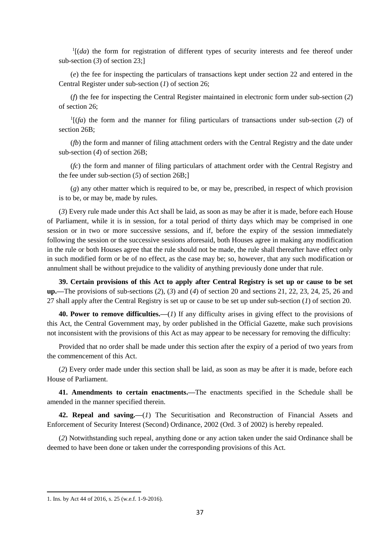$<sup>1</sup>$ [(*da*) the form for registration of different types of security interests and fee thereof under</sup> sub-section (*3*) of section 23;]

(*e*) the fee for inspecting the particulars of transactions kept under section 22 and entered in the Central Register under sub-section (*1*) of section 26;

(*f*) the fee for inspecting the Central Register maintained in electronic form under sub-section (*2*) of section 26;

1 [(*fa*) the form and the manner for filing particulars of transactions under sub-section (*2*) of section 26B;

(*fb*) the form and manner of filing attachment orders with the Central Registry and the date under sub-section (*4*) of section 26B;

(*fc*) the form and manner of filing particulars of attachment order with the Central Registry and the fee under sub-section (*5*) of section 26B;]

(*g*) any other matter which is required to be, or may be, prescribed, in respect of which provision is to be, or may be, made by rules.

(*3*) Every rule made under this Act shall be laid, as soon as may be after it is made, before each House of Parliament, while it is in session, for a total period of thirty days which may be comprised in one session or in two or more successive sessions, and if, before the expiry of the session immediately following the session or the successive sessions aforesaid, both Houses agree in making any modification in the rule or both Houses agree that the rule should not be made, the rule shall thereafter have effect only in such modified form or be of no effect, as the case may be; so, however, that any such modification or annulment shall be without prejudice to the validity of anything previously done under that rule.

**39. Certain provisions of this Act to apply after Central Registry is set up or cause to be set up.—**The provisions of sub-sections (*2*), (*3*) and (*4*) of section 20 and sections 21, 22, 23, 24, 25, 26 and 27 shall apply after the Central Registry is set up or cause to be set up under sub-section (*1*) of section 20.

**40. Power to remove difficulties.—**(*1*) If any difficulty arises in giving effect to the provisions of this Act, the Central Government may, by order published in the Official Gazette, make such provisions not inconsistent with the provisions of this Act as may appear to be necessary for removing the difficulty:

Provided that no order shall be made under this section after the expiry of a period of two years from the commencement of this Act.

(*2*) Every order made under this section shall be laid, as soon as may be after it is made, before each House of Parliament.

**41. Amendments to certain enactments.—**The enactments specified in the Schedule shall be amended in the manner specified therein.

**42. Repeal and saving.—**(*1*) The Securitisation and Reconstruction of Financial Assets and Enforcement of Security Interest (Second) Ordinance, 2002 (Ord. 3 of 2002) is hereby repealed.

(*2*) Notwithstanding such repeal, anything done or any action taken under the said Ordinance shall be deemed to have been done or taken under the corresponding provisions of this Act.

<sup>1.</sup> Ins. by Act 44 of 2016, s. 25 (w.e.f. 1-9-2016).